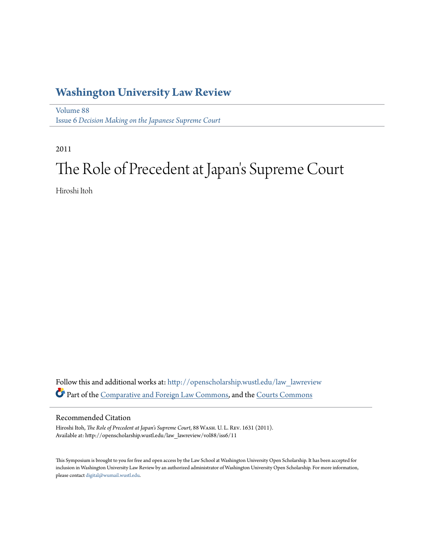# **[Washington University Law Review](http://openscholarship.wustl.edu/law_lawreview?utm_source=openscholarship.wustl.edu%2Flaw_lawreview%2Fvol88%2Fiss6%2F11&utm_medium=PDF&utm_campaign=PDFCoverPages)**

[Volume 88](http://openscholarship.wustl.edu/law_lawreview/vol88?utm_source=openscholarship.wustl.edu%2Flaw_lawreview%2Fvol88%2Fiss6%2F11&utm_medium=PDF&utm_campaign=PDFCoverPages) Issue 6 *[Decision Making on the Japanese Supreme Court](http://openscholarship.wustl.edu/law_lawreview/vol88/iss6?utm_source=openscholarship.wustl.edu%2Flaw_lawreview%2Fvol88%2Fiss6%2F11&utm_medium=PDF&utm_campaign=PDFCoverPages)*

2011

# The Role of Precedent at Japan 's Supreme Court

Hiroshi Itoh

Follow this and additional works at: [http://openscholarship.wustl.edu/law\\_lawreview](http://openscholarship.wustl.edu/law_lawreview?utm_source=openscholarship.wustl.edu%2Flaw_lawreview%2Fvol88%2Fiss6%2F11&utm_medium=PDF&utm_campaign=PDFCoverPages) Part of the [Comparative and Foreign Law Commons](http://network.bepress.com/hgg/discipline/836?utm_source=openscholarship.wustl.edu%2Flaw_lawreview%2Fvol88%2Fiss6%2F11&utm_medium=PDF&utm_campaign=PDFCoverPages), and the [Courts Commons](http://network.bepress.com/hgg/discipline/839?utm_source=openscholarship.wustl.edu%2Flaw_lawreview%2Fvol88%2Fiss6%2F11&utm_medium=PDF&utm_campaign=PDFCoverPages)

### Recommended Citation

Hiroshi Itoh, *The Role of Precedent at Japan's Supreme Court*, 88 Wash. U. L. Rev. 1631 (2011). Available at: http://openscholarship.wustl.edu/law\_lawreview/vol88/iss6/11

This Symposium is brought to you for free and open access by the Law School at Washington University Open Scholarship. It has been accepted for inclusion in Washington University Law Review by an authorized administrator of Washington University Open Scholarship. For more information, please contact [digital@wumail.wustl.edu.](mailto:digital@wumail.wustl.edu)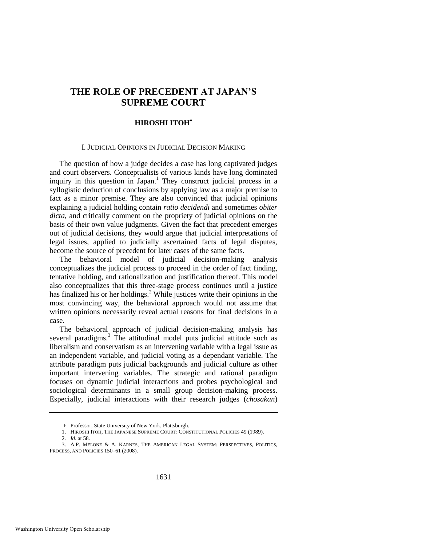# **THE ROLE OF PRECEDENT AT JAPAN'S SUPREME COURT**

#### **HIROSHI ITOH**

#### I. JUDICIAL OPINIONS IN JUDICIAL DECISION MAKING

The question of how a judge decides a case has long captivated judges and court observers. Conceptualists of various kinds have long dominated inquiry in this question in Japan.<sup>1</sup> They construct judicial process in a syllogistic deduction of conclusions by applying law as a major premise to fact as a minor premise. They are also convinced that judicial opinions explaining a judicial holding contain *ratio decidendi* and sometimes *obiter dicta*, and critically comment on the propriety of judicial opinions on the basis of their own value judgments. Given the fact that precedent emerges out of judicial decisions, they would argue that judicial interpretations of legal issues, applied to judicially ascertained facts of legal disputes, become the source of precedent for later cases of the same facts.

The behavioral model of judicial decision-making analysis conceptualizes the judicial process to proceed in the order of fact finding, tentative holding, and rationalization and justification thereof. This model also conceptualizes that this three-stage process continues until a justice has finalized his or her holdings.<sup>2</sup> While justices write their opinions in the most convincing way, the behavioral approach would not assume that written opinions necessarily reveal actual reasons for final decisions in a case.

The behavioral approach of judicial decision-making analysis has several paradigms. $3$  The attitudinal model puts judicial attitude such as liberalism and conservatism as an intervening variable with a legal issue as an independent variable, and judicial voting as a dependant variable. The attribute paradigm puts judicial backgrounds and judicial culture as other important intervening variables. The strategic and rational paradigm focuses on dynamic judicial interactions and probes psychological and sociological determinants in a small group decision-making process. Especially, judicial interactions with their research judges (*chosakan*)

Professor, State University of New York, Plattsburgh.

<sup>1.</sup> HIROSHI ITOH, THE JAPANESE SUPREME COURT: CONSTITUTIONAL POLICIES 49 (1989).

<sup>2.</sup> *Id.* at 58.

<sup>3.</sup> A.P. MELONE & A. KARNES, THE AMERICAN LEGAL SYSTEM: PERSPECTIVES, POLITICS, PROCESS, AND POLICIES 150–61 (2008).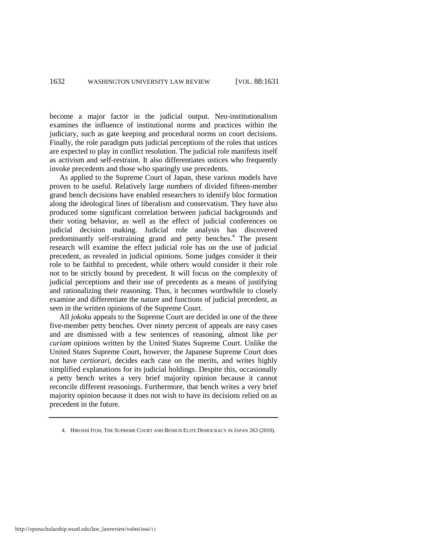become a major factor in the judicial output. Neo-institutionalism examines the influence of institutional norms and practices within the judiciary, such as gate keeping and procedural norms on court decisions. Finally, the role paradigm puts judicial perceptions of the roles that ustices are expected to play in conflict resolution. The judicial role manifests itself as activism and self-restraint. It also differentiates ustices who frequently invoke precedents and those who sparingly use precedents.

<span id="page-2-0"></span>As applied to the Supreme Court of Japan, these various models have proven to be useful. Relatively large numbers of divided fifteen-member grand bench decisions have enabled researchers to identify bloc formation along the ideological lines of liberalism and conservatism. They have also produced some significant correlation between judicial backgrounds and their voting behavior, as well as the effect of judicial conferences on judicial decision making. Judicial role analysis has discovered predominantly self-restraining grand and petty benches.<sup>4</sup> The present research will examine the effect judicial role has on the use of judicial precedent, as revealed in judicial opinions. Some judges consider it their role to be faithful to precedent, while others would consider it their role not to be strictly bound by precedent. It will focus on the complexity of judicial perceptions and their use of precedents as a means of justifying and rationalizing their reasoning. Thus, it becomes worthwhile to closely examine and differentiate the nature and functions of judicial precedent, as seen in the written opinions of the Supreme Court.

All *jokoku* appeals to the Supreme Court are decided in one of the three five-member petty benches. Over ninety percent of appeals are easy cases and are dismissed with a few sentences of reasoning, almost like *per curiam* opinions written by the United States Supreme Court. Unlike the United States Supreme Court, however, the Japanese Supreme Court does not have *certiorari*, decides each case on the merits, and writes highly simplified explanations for its judicial holdings. Despite this, occasionally a petty bench writes a very brief majority opinion because it cannot reconcile different reasonings. Furthermore, that bench writes a very brief majority opinion because it does not wish to have its decisions relied on as precedent in the future.

<sup>4.</sup> HIROSHI ITOH, THE SUPREME COURT AND BENIGN ELITE DEMOCRACY IN JAPAN 263 (2010).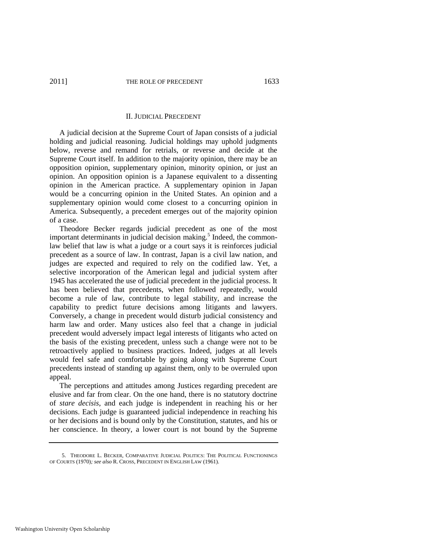#### II. JUDICIAL PRECEDENT

A judicial decision at the Supreme Court of Japan consists of a judicial holding and judicial reasoning. Judicial holdings may uphold judgments below, reverse and remand for retrials, or reverse and decide at the Supreme Court itself. In addition to the majority opinion, there may be an opposition opinion, supplementary opinion, minority opinion, or just an opinion. An opposition opinion is a Japanese equivalent to a dissenting opinion in the American practice. A supplementary opinion in Japan would be a concurring opinion in the United States. An opinion and a supplementary opinion would come closest to a concurring opinion in America. Subsequently, a precedent emerges out of the majority opinion of a case.

Theodore Becker regards judicial precedent as one of the most important determinants in judicial decision making.<sup>5</sup> Indeed, the commonlaw belief that law is what a judge or a court says it is reinforces judicial precedent as a source of law. In contrast, Japan is a civil law nation, and judges are expected and required to rely on the codified law. Yet, a selective incorporation of the American legal and judicial system after 1945 has accelerated the use of judicial precedent in the judicial process. It has been believed that precedents, when followed repeatedly, would become a rule of law, contribute to legal stability, and increase the capability to predict future decisions among litigants and lawyers. Conversely, a change in precedent would disturb judicial consistency and harm law and order. Many ustices also feel that a change in judicial precedent would adversely impact legal interests of litigants who acted on the basis of the existing precedent, unless such a change were not to be retroactively applied to business practices. Indeed, judges at all levels would feel safe and comfortable by going along with Supreme Court precedents instead of standing up against them, only to be overruled upon appeal.

The perceptions and attitudes among Justices regarding precedent are elusive and far from clear. On the one hand, there is no statutory doctrine of *stare decisis*, and each judge is independent in reaching his or her decisions. Each judge is guaranteed judicial independence in reaching his or her decisions and is bound only by the Constitution, statutes, and his or her conscience. In theory, a lower court is not bound by the Supreme

<sup>5.</sup> THEODORE L. BECKER, COMPARATIVE JUDICIAL POLITICS: THE POLITICAL FUNCTIONINGS OF COURTS (1970)*; see also* R. CROSS, PRECEDENT IN ENGLISH LAW (1961).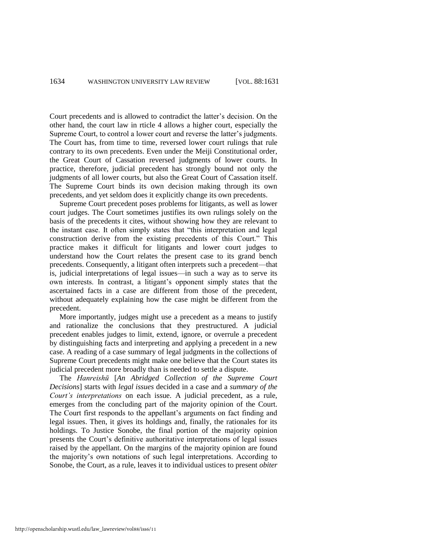Court precedents and is allowed to contradict the latter's decision. On the other hand, the court law in rticle 4 allows a higher court, especially the Supreme Court, to control a lower court and reverse the latter's judgments. The Court has, from time to time, reversed lower court rulings that rule contrary to its own precedents. Even under the Meiji Constitutional order, the Great Court of Cassation reversed judgments of lower courts. In practice, therefore, judicial precedent has strongly bound not only the judgments of all lower courts, but also the Great Court of Cassation itself. The Supreme Court binds its own decision making through its own precedents, and yet seldom does it explicitly change its own precedents.

Supreme Court precedent poses problems for litigants, as well as lower court judges. The Court sometimes justifies its own rulings solely on the basis of the precedents it cites, without showing how they are relevant to the instant case. It often simply states that "this interpretation and legal construction derive from the existing precedents of this Court." This practice makes it difficult for litigants and lower court judges to understand how the Court relates the present case to its grand bench precedents. Consequently, a litigant often interprets such a precedent—that is, judicial interpretations of legal issues—in such a way as to serve its own interests. In contrast, a litigant's opponent simply states that the ascertained facts in a case are different from those of the precedent, without adequately explaining how the case might be different from the precedent.

More importantly, judges might use a precedent as a means to justify and rationalize the conclusions that they prestructured. A judicial precedent enables judges to limit, extend, ignore, or overrule a precedent by distinguishing facts and interpreting and applying a precedent in a new case. A reading of a case summary of legal judgments in the collections of Supreme Court precedents might make one believe that the Court states its judicial precedent more broadly than is needed to settle a dispute.

The *Hanreishū* [*An Abridged Collection of the Supreme Court Decisions*] starts with *legal issues* decided in a case and a *summary of the Court's interpretations* on each issue. A judicial precedent, as a rule, emerges from the concluding part of the majority opinion of the Court. The Court first responds to the appellant's arguments on fact finding and legal issues. Then, it gives its holdings and, finally, the rationales for its holdings. To Justice Sonobe, the final portion of the majority opinion presents the Court's definitive authoritative interpretations of legal issues raised by the appellant. On the margins of the majority opinion are found the majority's own notations of such legal interpretations. According to Sonobe, the Court, as a rule, leaves it to individual ustices to present *obiter*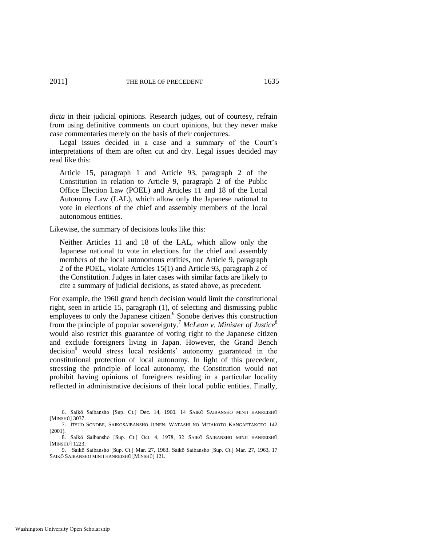*dicta* in their judicial opinions. Research judges, out of courtesy, refrain from using definitive comments on court opinions, but they never make case commentaries merely on the basis of their conjectures.

Legal issues decided in a case and a summary of the Court's interpretations of them are often cut and dry. Legal issues decided may read like this:

Article 15, paragraph 1 and Article 93, paragraph 2 of the Constitution in relation to Article 9, paragraph 2 of the Public Office Election Law (POEL) and Articles 11 and 18 of the Local Autonomy Law (LAL), which allow only the Japanese national to vote in elections of the chief and assembly members of the local autonomous entities.

Likewise, the summary of decisions looks like this:

Neither Articles 11 and 18 of the LAL, which allow only the Japanese national to vote in elections for the chief and assembly members of the local autonomous entities, nor Article 9, paragraph 2 of the POEL, violate Articles 15(1) and Article 93, paragraph 2 of the Constitution. Judges in later cases with similar facts are likely to cite a summary of judicial decisions, as stated above, as precedent.

For example, the 1960 grand bench decision would limit the constitutional right, seen in article 15, paragraph (1), of selecting and dismissing public employees to only the Japanese citizen.<sup>6</sup> Sonobe derives this construction from the principle of popular sovereignty.<sup>7</sup>  *McLean v. Minister of Justice*<sup>8</sup> would also restrict this guarantee of voting right to the Japanese citizen and exclude foreigners living in Japan. However, the Grand Bench decision<sup>9</sup> would stress local residents' autonomy guaranteed in the constitutional protection of local autonomy. In light of this precedent, stressing the principle of local autonomy, the Constitution would not prohibit having opinions of foreigners residing in a particular locality reflected in administrative decisions of their local public entities. Finally,

<sup>6.</sup> Saikō Saibansho [Sup. Ct.] Dec. 14, 1960. 14 SAIKŌ SAIBANSHO MINJI HANREISHŪ [MINSHŪ] 3037.

<sup>7.</sup> ITSUO SONOBE, SAIKOSAIBANSHO JUNEN: WATASHI NO MITAKOTO KANGAETAKOTO 142 (2001).

<sup>8.</sup> Saikō Saibansho [Sup. Ct.] Oct. 4, 1978, 32 SAIKŌ SAIBANSHO MINJI HANREISHŪ [MINSHŪ] 1223.

<sup>9.</sup> Saikō Saibansho [Sup. Ct.] Mar. 27, 1963. Saikō Saibansho [Sup. Ct.] Mar. 27, 1963, 17 SAIKŌ SAIBANSHO MINJI HANREISHŪ [MINSHŪ] 121.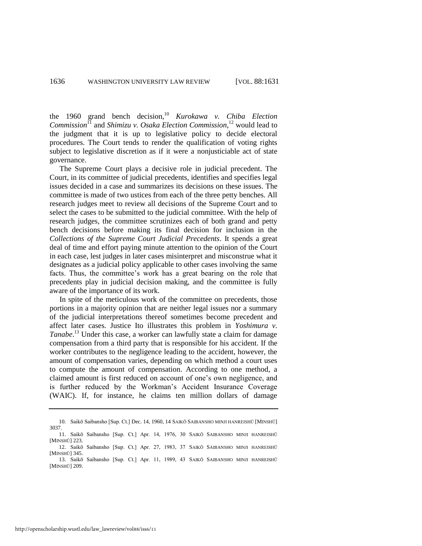the 1960 grand bench decision,<sup>10</sup> *Kurokawa v. Chiba Election Commission*<sup>11</sup> and *Shimizu v. Osaka Election Commission*, <sup>12</sup> would lead to the judgment that it is up to legislative policy to decide electoral procedures. The Court tends to render the qualification of voting rights subject to legislative discretion as if it were a nonjusticiable act of state governance.

The Supreme Court plays a decisive role in judicial precedent. The Court, in its committee of judicial precedents, identifies and specifies legal issues decided in a case and summarizes its decisions on these issues. The committee is made of two ustices from each of the three petty benches. All research judges meet to review all decisions of the Supreme Court and to select the cases to be submitted to the judicial committee. With the help of research judges, the committee scrutinizes each of both grand and petty bench decisions before making its final decision for inclusion in the *Collections of the Supreme Court Judicial Precedents*. It spends a great deal of time and effort paying minute attention to the opinion of the Court in each case, lest judges in later cases misinterpret and misconstrue what it designates as a judicial policy applicable to other cases involving the same facts. Thus, the committee's work has a great bearing on the role that precedents play in judicial decision making, and the committee is fully aware of the importance of its work.

In spite of the meticulous work of the committee on precedents, those portions in a majority opinion that are neither legal issues nor a summary of the judicial interpretations thereof sometimes become precedent and affect later cases. Justice Ito illustrates this problem in *Yoshimura v. Tanabe*. <sup>13</sup> Under this case, a worker can lawfully state a claim for damage compensation from a third party that is responsible for his accident. If the worker contributes to the negligence leading to the accident, however, the amount of compensation varies, depending on which method a court uses to compute the amount of compensation. According to one method, a claimed amount is first reduced on account of one's own negligence, and is further reduced by the Workman's Accident Insurance Coverage (WAIC). If, for instance, he claims ten million dollars of damage

<sup>10.</sup> Saikō Saibansho [Sup. Ct.] Dec. 14, 1960, 14 SAIKŌ SAIBANSHO MINJI HANREISHŪ [MINSHŪ] 3037.

<sup>11.</sup> Saikō Saibansho [Sup. Ct.] Apr. 14, 1976, 30 SAIKŌ SAIBANSHO MINJI HANREISHŪ [MINSHŪ] 223. 12. Saikō Saibansho [Sup. Ct.] Apr. 27, 1983, 37 SAIKŌ SAIBANSHO MINJI HANREISHŪ

<sup>[</sup>MINSHŪ] 345. 13. Saikō Saibansho [Sup. Ct.] Apr. 11, 1989, 43 SAIKŌ SAIBANSHO MINJI HANREISHŪ

<sup>[</sup>MINSHŪ] 209.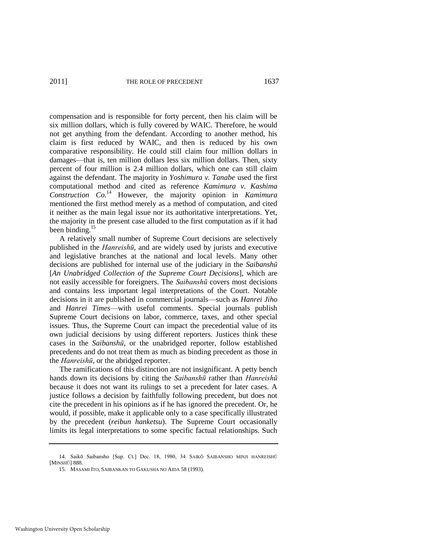compensation and is responsible for forty percent, then his claim will be six million dollars, which is fully covered by WAIC. Therefore, he would not get anything from the defendant. According to another method, his claim is first reduced by WAIC, and then is reduced by his own comparative responsibility. He could still claim four million dollars in damages—that is, ten million dollars less six million dollars. Then, sixty percent of four million is 2.4 million dollars, which one can still claim against the defendant. The majority in *Yoshimura v. Tanabe* used the first computational method and cited as reference *Kamimura v. Kashima Construction Co.*<sup>14</sup> However, the majority opinion in *Kamimura* mentioned the first method merely as a method of computation, and cited it neither as the main legal issue nor its authoritative interpretations. Yet, the majority in the present case alluded to the first computation as if it had been binding.<sup>15</sup>

<span id="page-7-0"></span>A relatively small number of Supreme Court decisions are selectively published in the *Hanreishū*, and are widely used by jurists and executive and legislative branches at the national and local levels. Many other decisions are published for internal use of the judiciary in the *Saibanshū* [*An Unabridged Collection of the Supreme Court Decisions*], which are not easily accessible for foreigners. The *Saibanshū* covers most decisions and contains less important legal interpretations of the Court. Notable decisions in it are published in commercial journals—such as *Hanrei Jiho* and *Hanrei Times*—with useful comments. Special journals publish Supreme Court decisions on labor, commerce, taxes, and other special issues. Thus, the Supreme Court can impact the precedential value of its own judicial decisions by using different reporters. Justices think these cases in the *Saibanshū*, or the unabridged reporter, follow established precedents and do not treat them as much as binding precedent as those in the *Hanreishū*, or the abridged reporter.

The ramifications of this distinction are not insignificant. A petty bench hands down its decisions by citing the *Saibanshū* rather than *Hanreishū* because it does not want its rulings to set a precedent for later cases. A justice follows a decision by faithfully following precedent, but does not cite the precedent in his opinions as if he has ignored the precedent. Or, he would, if possible, make it applicable only to a case specifically illustrated by the precedent (*reibun hanketsu*). The Supreme Court occasionally limits its legal interpretations to some specific factual relationships. Such

<sup>14.</sup> Saikō Saibansho [Sup. Ct.] Dec. 18, 1980, 34 SAIKŌ SAIBANSHO MINJI HANREISHŪ [MINSHŪ] 888.

<sup>15.</sup> MASAMI ITO, SAIBANKAN TO GAKUSHA NO AIDA 58 (1993).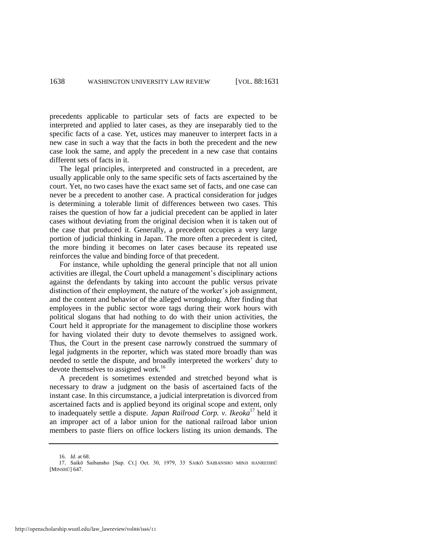precedents applicable to particular sets of facts are expected to be interpreted and applied to later cases, as they are inseparably tied to the specific facts of a case. Yet, ustices may maneuver to interpret facts in a new case in such a way that the facts in both the precedent and the new case look the same, and apply the precedent in a new case that contains different sets of facts in it.

The legal principles, interpreted and constructed in a precedent, are usually applicable only to the same specific sets of facts ascertained by the court. Yet, no two cases have the exact same set of facts, and one case can never be a precedent to another case. A practical consideration for judges is determining a tolerable limit of differences between two cases. This raises the question of how far a judicial precedent can be applied in later cases without deviating from the original decision when it is taken out of the case that produced it. Generally, a precedent occupies a very large portion of judicial thinking in Japan. The more often a precedent is cited, the more binding it becomes on later cases because its repeated use reinforces the value and binding force of that precedent.

For instance, while upholding the general principle that not all union activities are illegal, the Court upheld a management's disciplinary actions against the defendants by taking into account the public versus private distinction of their employment, the nature of the worker's job assignment, and the content and behavior of the alleged wrongdoing. After finding that employees in the public sector wore tags during their work hours with political slogans that had nothing to do with their union activities, the Court held it appropriate for the management to discipline those workers for having violated their duty to devote themselves to assigned work. Thus, the Court in the present case narrowly construed the summary of legal judgments in the reporter, which was stated more broadly than was needed to settle the dispute, and broadly interpreted the workers' duty to devote themselves to assigned work.<sup>16</sup>

A precedent is sometimes extended and stretched beyond what is necessary to draw a judgment on the basis of ascertained facts of the instant case. In this circumstance, a judicial interpretation is divorced from ascertained facts and is applied beyond its original scope and extent, only to inadequately settle a dispute. *Japan Railroad Corp. v. Ikeoka*<sup>17</sup> held it an improper act of a labor union for the national railroad labor union members to paste fliers on office lockers listing its union demands. The

<sup>16.</sup> *Id.* at 68.

<sup>17.</sup> Saikō Saibansho [Sup. Ct.] Oct. 30, 1979, 33 SAIKŌ SAIBANSHO MINJI HANREISHŪ [MINSHŪ] 647.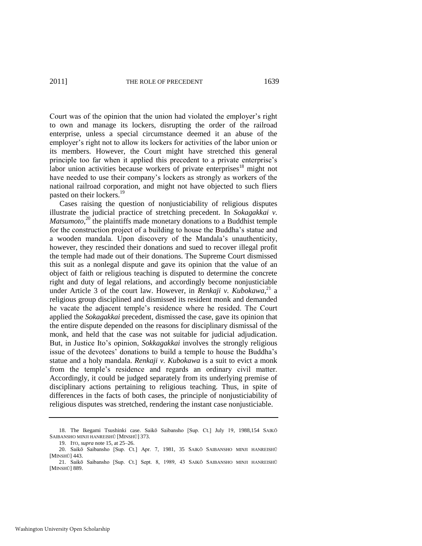Court was of the opinion that the union had violated the employer's right to own and manage its lockers, disrupting the order of the railroad enterprise, unless a special circumstance deemed it an abuse of the employer's right not to allow its lockers for activities of the labor union or its members. However, the Court might have stretched this general principle too far when it applied this precedent to a private enterprise's labor union activities because workers of private enterprises $18$  might not have needed to use their company's lockers as strongly as workers of the national railroad corporation, and might not have objected to such fliers pasted on their lockers.<sup>19</sup>

Cases raising the question of nonjusticiability of religious disputes illustrate the judicial practice of stretching precedent. In *Sokagakkai v. Matsumoto*,<sup>20</sup> the plaintiffs made monetary donations to a Buddhist temple for the construction project of a building to house the Buddha's statue and a wooden mandala. Upon discovery of the Mandala's unauthenticity, however, they rescinded their donations and sued to recover illegal profit the temple had made out of their donations. The Supreme Court dismissed this suit as a nonlegal dispute and gave its opinion that the value of an object of faith or religious teaching is disputed to determine the concrete right and duty of legal relations, and accordingly become nonjusticiable under Article 3 of the court law. However, in *Renkaji v. Kubokawa*,<sup>21</sup> a religious group disciplined and dismissed its resident monk and demanded he vacate the adjacent temple's residence where he resided. The Court applied the *Sokagakkai* precedent, dismissed the case, gave its opinion that the entire dispute depended on the reasons for disciplinary dismissal of the monk, and held that the case was not suitable for judicial adjudication. But, in Justice Ito's opinion, *Sokkagakkai* involves the strongly religious issue of the devotees' donations to build a temple to house the Buddha's statue and a holy mandala. *Renkaji v. Kubokawa* is a suit to evict a monk from the temple's residence and regards an ordinary civil matter. Accordingly, it could be judged separately from its underlying premise of disciplinary actions pertaining to religious teaching. Thus, in spite of differences in the facts of both cases, the principle of nonjusticiability of religious disputes was stretched, rendering the instant case nonjusticiable.

<sup>18.</sup> The Ikegami Tsushinki case. Saikō Saibansho [Sup. Ct.] July 19, 1988,154 SAIKŌ SAIBANSHO MINJI HANREISHŪ [MINSHŪ] 373.

<sup>19.</sup> ITO, *supra* not[e 15,](#page-7-0) at 25–26.

<sup>20.</sup> Saikō Saibansho [Sup. Ct.] Apr. 7, 1981, 35 SAIKŌ SAIBANSHO MINJI HANREISHŪ [MINSHŪ] 443.

<sup>21.</sup> Saikō Saibansho [Sup. Ct.] Sept. 8, 1989, 43 SAIKŌ SAIBANSHO MINJI HANREISHŪ [MINSHŪ] 889.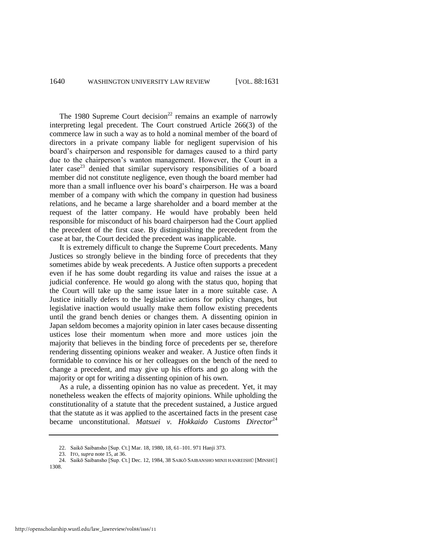The 1980 Supreme Court decision<sup>22</sup> remains an example of narrowly interpreting legal precedent. The Court construed Article 266(3) of the commerce law in such a way as to hold a nominal member of the board of directors in a private company liable for negligent supervision of his board's chairperson and responsible for damages caused to a third party due to the chairperson's wanton management. However, the Court in a later  $case^{23}$  denied that similar supervisory responsibilities of a board member did not constitute negligence, even though the board member had more than a small influence over his board's chairperson. He was a board member of a company with which the company in question had business relations, and he became a large shareholder and a board member at the request of the latter company. He would have probably been held responsible for misconduct of his board chairperson had the Court applied the precedent of the first case. By distinguishing the precedent from the case at bar, the Court decided the precedent was inapplicable.

It is extremely difficult to change the Supreme Court precedents. Many Justices so strongly believe in the binding force of precedents that they sometimes abide by weak precedents. A Justice often supports a precedent even if he has some doubt regarding its value and raises the issue at a judicial conference. He would go along with the status quo, hoping that the Court will take up the same issue later in a more suitable case. A Justice initially defers to the legislative actions for policy changes, but legislative inaction would usually make them follow existing precedents until the grand bench denies or changes them. A dissenting opinion in Japan seldom becomes a majority opinion in later cases because dissenting ustices lose their momentum when more and more ustices join the majority that believes in the binding force of precedents per se, therefore rendering dissenting opinions weaker and weaker. A Justice often finds it formidable to convince his or her colleagues on the bench of the need to change a precedent, and may give up his efforts and go along with the majority or opt for writing a dissenting opinion of his own.

As a rule, a dissenting opinion has no value as precedent. Yet, it may nonetheless weaken the effects of majority opinions. While upholding the constitutionality of a statute that the precedent sustained, a Justice argued that the statute as it was applied to the ascertained facts in the present case became unconstitutional. *Matsuei v. Hokkaido Customs Director*<sup>24</sup>

23. ITO, *supra* not[e 15,](#page-7-0) at 36.

<sup>22.</sup> Saikō Saibansho [Sup. Ct.] Mar. 18, 1980, 18, 61–101. 971 Hanji 373.

<sup>24.</sup> Saikō Saibansho [Sup. Ct.] Dec. 12, 1984, 38 SAIKŌ SAIBANSHO MINJI HANREISHŪ [MINSHŪ] 1308.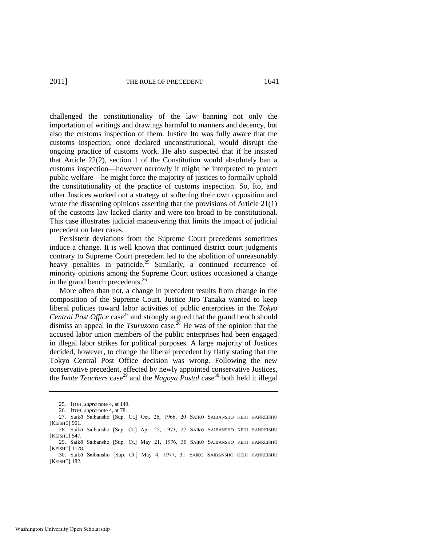challenged the constitutionality of the law banning not only the importation of writings and drawings harmful to manners and decency, but also the customs inspection of them. Justice Ito was fully aware that the customs inspection, once declared unconstitutional, would disrupt the ongoing practice of customs work. He also suspected that if he insisted that Article 22(2), section 1 of the Constitution would absolutely ban a customs inspection—however narrowly it might be interpreted to protect public welfare—he might force the majority of justices to formally uphold the constitutionality of the practice of customs inspection. So, Ito, and other Justices worked out a strategy of softening their own opposition and wrote the dissenting opinions asserting that the provisions of Article 21(1) of the customs law lacked clarity and were too broad to be constitutional. This case illustrates judicial maneuvering that limits the impact of judicial precedent on later cases.

Persistent deviations from the Supreme Court precedents sometimes induce a change. It is well known that continued district court judgments contrary to Supreme Court precedent led to the abolition of unreasonably heavy penalties in patricide.<sup>25</sup> Similarly, a continued recurrence of minority opinions among the Supreme Court ustices occasioned a change in the grand bench precedents.<sup>26</sup>

More often than not, a change in precedent results from change in the composition of the Supreme Court. Justice Jiro Tanaka wanted to keep liberal policies toward labor activities of public enterprises in the *Tokyo Central Post Office* case<sup>27</sup> and strongly argued that the grand bench should dismiss an appeal in the *Tsuruzono* case.<sup>28</sup> He was of the opinion that the accused labor union members of the public enterprises had been engaged in illegal labor strikes for political purposes. A large majority of Justices decided, however, to change the liberal precedent by flatly stating that the Tokyo Central Post Office decision was wrong. Following the new conservative precedent, effected by newly appointed conservative Justices, the *Iwate Teachers* case<sup>29</sup> and the *Nagoya Postal* case<sup>30</sup> both held it illegal

<sup>25.</sup> ITOH, *supra* not[e 4,](#page-2-0) at 149.

<sup>26.</sup> ITOH, *supra* not[e 4,](#page-2-0) at 78.

<sup>27.</sup> Saikō Saibansho [Sup. Ct.] Oct. 26, 1966, 20 SAIKŌ SAIBANSHO KEIJI HANREISHŪ [KEISHŪ] 901. 28. Saikō Saibansho [Sup. Ct.] Apr. 25, 1973, 27 SAIKŌ SAIBANSHO KEIJI HANREISHŪ [KEISHŪ] 547.

<sup>29.</sup> Saikō Saibansho [Sup. Ct.] May 21, 1976, 30 SAIKŌ SAIBANSHO KEIJI HANREISHŪ [KEISHŪ] 1178. 30. Saikō Saibansho [Sup. Ct.] May 4, 1977, 31 SAIKŌ SAIBANSHO KEIJI HANREISHŪ

<sup>[</sup>KEISHŪ] 182.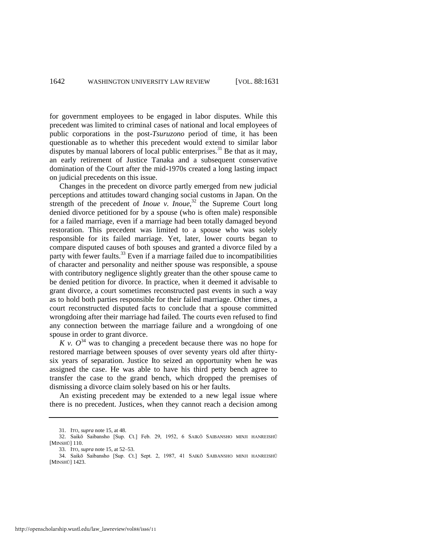for government employees to be engaged in labor disputes. While this precedent was limited to criminal cases of national and local employees of public corporations in the post-*Tsuruzono* period of time, it has been questionable as to whether this precedent would extend to similar labor disputes by manual laborers of local public enterprises.<sup>31</sup> Be that as it may, an early retirement of Justice Tanaka and a subsequent conservative domination of the Court after the mid-1970s created a long lasting impact on judicial precedents on this issue.

Changes in the precedent on divorce partly emerged from new judicial perceptions and attitudes toward changing social customs in Japan. On the strength of the precedent of *Inoue* v. *Inoue*,<sup>32</sup> the Supreme Court long denied divorce petitioned for by a spouse (who is often male) responsible for a failed marriage, even if a marriage had been totally damaged beyond restoration. This precedent was limited to a spouse who was solely responsible for its failed marriage. Yet, later, lower courts began to compare disputed causes of both spouses and granted a divorce filed by a party with fewer faults.<sup>33</sup> Even if a marriage failed due to incompatibilities of character and personality and neither spouse was responsible, a spouse with contributory negligence slightly greater than the other spouse came to be denied petition for divorce. In practice, when it deemed it advisable to grant divorce, a court sometimes reconstructed past events in such a way as to hold both parties responsible for their failed marriage. Other times, a court reconstructed disputed facts to conclude that a spouse committed wrongdoing after their marriage had failed. The courts even refused to find any connection between the marriage failure and a wrongdoing of one spouse in order to grant divorce.

*K v.*  $O^{34}$  was to changing a precedent because there was no hope for restored marriage between spouses of over seventy years old after thirtysix years of separation. Justice Ito seized an opportunity when he was assigned the case. He was able to have his third petty bench agree to transfer the case to the grand bench, which dropped the premises of dismissing a divorce claim solely based on his or her faults.

An existing precedent may be extended to a new legal issue where there is no precedent. Justices, when they cannot reach a decision among

<sup>31.</sup> ITO, *supra* not[e 15,](#page-7-0) at 48.

<sup>32.</sup> Saikō Saibansho [Sup. Ct.] Feb. 29, 1952, 6 SAIKŌ SAIBANSHO MINJI HANREISHŪ [MINSHŪ] 110.

<sup>33.</sup> ITO, *supra* not[e 15,](#page-7-0) at 52–53.

<sup>34.</sup> Saikō Saibansho [Sup. Ct.] Sept. 2, 1987, 41 SAIKŌ SAIBANSHO MINJI HANREISHŪ [MINSHŪ] 1423.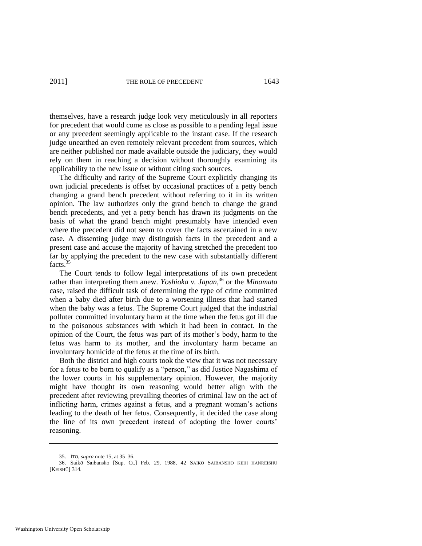themselves, have a research judge look very meticulously in all reporters for precedent that would come as close as possible to a pending legal issue or any precedent seemingly applicable to the instant case. If the research judge unearthed an even remotely relevant precedent from sources, which are neither published nor made available outside the judiciary, they would rely on them in reaching a decision without thoroughly examining its applicability to the new issue or without citing such sources.

The difficulty and rarity of the Supreme Court explicitly changing its own judicial precedents is offset by occasional practices of a petty bench changing a grand bench precedent without referring to it in its written opinion. The law authorizes only the grand bench to change the grand bench precedents, and yet a petty bench has drawn its judgments on the basis of what the grand bench might presumably have intended even where the precedent did not seem to cover the facts ascertained in a new case. A dissenting judge may distinguish facts in the precedent and a present case and accuse the majority of having stretched the precedent too far by applying the precedent to the new case with substantially different facts.<sup>35</sup>

The Court tends to follow legal interpretations of its own precedent rather than interpreting them anew. *Yoshioka v. Japan*, <sup>36</sup> or the *Minamata* case, raised the difficult task of determining the type of crime committed when a baby died after birth due to a worsening illness that had started when the baby was a fetus. The Supreme Court judged that the industrial polluter committed involuntary harm at the time when the fetus got ill due to the poisonous substances with which it had been in contact. In the opinion of the Court, the fetus was part of its mother's body, harm to the fetus was harm to its mother, and the involuntary harm became an involuntary homicide of the fetus at the time of its birth.

Both the district and high courts took the view that it was not necessary for a fetus to be born to qualify as a "person," as did Justice Nagashima of the lower courts in his supplementary opinion. However, the majority might have thought its own reasoning would better align with the precedent after reviewing prevailing theories of criminal law on the act of inflicting harm, crimes against a fetus, and a pregnant woman's actions leading to the death of her fetus. Consequently, it decided the case along the line of its own precedent instead of adopting the lower courts' reasoning.

<sup>35.</sup> ITO, *supra* not[e 15,](#page-7-0) at 35–36.

<sup>36.</sup> Saikō Saibansho [Sup. Ct.] Feb. 29, 1988, 42 SAIKŌ SAIBANSHO KEIJI HANREISHŪ [KEISHŪ] 314.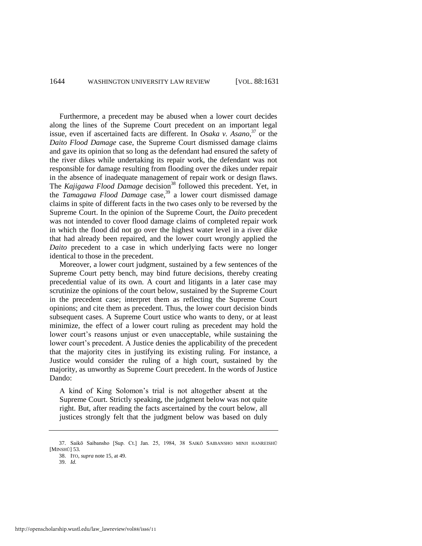Furthermore, a precedent may be abused when a lower court decides along the lines of the Supreme Court precedent on an important legal issue, even if ascertained facts are different. In *Osaka v. Asano*, <sup>37</sup> or the *Daito Flood Damage* case, the Supreme Court dismissed damage claims and gave its opinion that so long as the defendant had ensured the safety of the river dikes while undertaking its repair work, the defendant was not responsible for damage resulting from flooding over the dikes under repair in the absence of inadequate management of repair work or design flaws. The *Kajigawa Flood Damage* decision<sup>38</sup> followed this precedent. Yet, in the *Tamagawa Flood Damage* case,<sup>39</sup> a lower court dismissed damage claims in spite of different facts in the two cases only to be reversed by the Supreme Court. In the opinion of the Supreme Court, the *Daito* precedent was not intended to cover flood damage claims of completed repair work in which the flood did not go over the highest water level in a river dike that had already been repaired, and the lower court wrongly applied the *Daito* precedent to a case in which underlying facts were no longer identical to those in the precedent.

Moreover, a lower court judgment, sustained by a few sentences of the Supreme Court petty bench, may bind future decisions, thereby creating precedential value of its own. A court and litigants in a later case may scrutinize the opinions of the court below, sustained by the Supreme Court in the precedent case; interpret them as reflecting the Supreme Court opinions; and cite them as precedent. Thus, the lower court decision binds subsequent cases. A Supreme Court ustice who wants to deny, or at least minimize, the effect of a lower court ruling as precedent may hold the lower court's reasons unjust or even unacceptable, while sustaining the lower court's precedent. A Justice denies the applicability of the precedent that the majority cites in justifying its existing ruling. For instance, a Justice would consider the ruling of a high court, sustained by the majority, as unworthy as Supreme Court precedent. In the words of Justice Dando:

A kind of King Solomon's trial is not altogether absent at the Supreme Court. Strictly speaking, the judgment below was not quite right. But, after reading the facts ascertained by the court below, all justices strongly felt that the judgment below was based on duly

<sup>37.</sup> Saikō Saibansho [Sup. Ct.] Jan. 25, 1984, 38 SAIKŌ SAIBANSHO MINJI HANREISHŪ [MINSHŪ] 53.

<sup>38.</sup> ITO, *supra* not[e 15,](#page-7-0) at 49.

<sup>39.</sup> *Id.*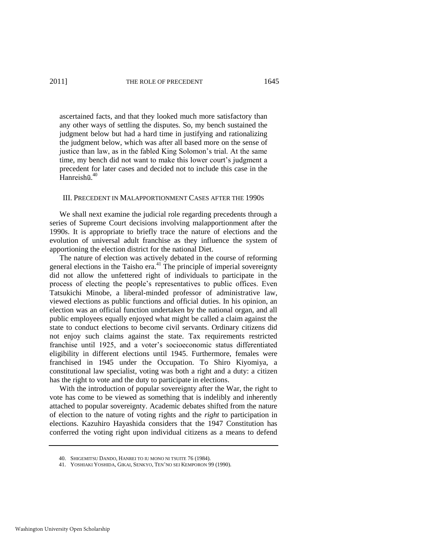ascertained facts, and that they looked much more satisfactory than any other ways of settling the disputes. So, my bench sustained the judgment below but had a hard time in justifying and rationalizing the judgment below, which was after all based more on the sense of justice than law, as in the fabled King Solomon's trial. At the same time, my bench did not want to make this lower court's judgment a precedent for later cases and decided not to include this case in the Hanreishū. 40

#### III. PRECEDENT IN MALAPPORTIONMENT CASES AFTER THE 1990S

We shall next examine the judicial role regarding precedents through a series of Supreme Court decisions involving malapportionment after the 1990s. It is appropriate to briefly trace the nature of elections and the evolution of universal adult franchise as they influence the system of apportioning the election district for the national Diet.

<span id="page-15-0"></span>The nature of election was actively debated in the course of reforming general elections in the Taisho era.<sup>41</sup> The principle of imperial sovereignty did not allow the unfettered right of individuals to participate in the process of electing the people's representatives to public offices. Even Tatsukichi Minobe, a liberal-minded professor of administrative law, viewed elections as public functions and official duties. In his opinion, an election was an official function undertaken by the national organ, and all public employees equally enjoyed what might be called a claim against the state to conduct elections to become civil servants. Ordinary citizens did not enjoy such claims against the state. Tax requirements restricted franchise until 1925, and a voter's socioeconomic status differentiated eligibility in different elections until 1945. Furthermore, females were franchised in 1945 under the Occupation. To Shiro Kiyomiya, a constitutional law specialist, voting was both a right and a duty: a citizen has the right to vote and the duty to participate in elections.

With the introduction of popular sovereignty after the War, the right to vote has come to be viewed as something that is indelibly and inherently attached to popular sovereignty. Academic debates shifted from the nature of election to the nature of voting rights and the *right* to participation in elections. Kazuhiro Hayashida considers that the 1947 Constitution has conferred the voting right upon individual citizens as a means to defend

<sup>40.</sup> SHIGEMITSU DANDO, HANREI TO IU MONO NI TSUITE 76 (1984).

<sup>41.</sup> YOSHIAKI YOSHIDA, GIKAI, SENKYO, TEN'NO SEI KEMPORON 99 (1990).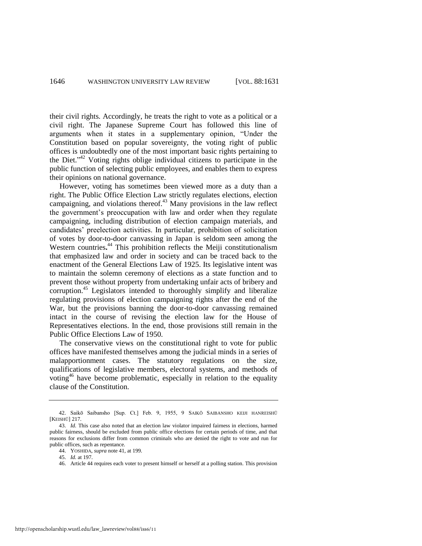their civil rights. Accordingly, he treats the right to vote as a political or a civil right. The Japanese Supreme Court has followed this line of arguments when it states in a supplementary opinion, "Under the Constitution based on popular sovereignty, the voting right of public offices is undoubtedly one of the most important basic rights pertaining to the Diet."<sup>42</sup> Voting rights oblige individual citizens to participate in the public function of selecting public employees, and enables them to express their opinions on national governance.

However, voting has sometimes been viewed more as a duty than a right. The Public Office Election Law strictly regulates elections, election campaigning, and violations thereof.<sup>43</sup> Many provisions in the law reflect the government's preoccupation with law and order when they regulate campaigning, including distribution of election campaign materials, and candidates' preelection activities. In particular, prohibition of solicitation of votes by door-to-door canvassing in Japan is seldom seen among the Western countries**.** <sup>44</sup> This prohibition reflects the Meiji constitutionalism that emphasized law and order in society and can be traced back to the enactment of the General Elections Law of 1925. Its legislative intent was to maintain the solemn ceremony of elections as a state function and to prevent those without property from undertaking unfair acts of bribery and corruption.<sup>45</sup> Legislators intended to thoroughly simplify and liberalize regulating provisions of election campaigning rights after the end of the War, but the provisions banning the door-to-door canvassing remained intact in the course of revising the election law for the House of Representatives elections. In the end, those provisions still remain in the Public Office Elections Law of 1950.

The conservative views on the constitutional right to vote for public offices have manifested themselves among the judicial minds in a series of malapportionment cases. The statutory regulations on the size, qualifications of legislative members, electoral systems, and methods of voting<sup>46</sup> have become problematic, especially in relation to the equality clause of the Constitution.

<sup>42.</sup> Saikō Saibansho [Sup. Ct.] Feb. 9, 1955, 9 SAIKŌ SAIBANSHO KEIJI HANREISHŪ [KEISHŪ] 217.

<sup>43.</sup> *Id.* This case also noted that an election law violator impaired fairness in elections, harmed public fairness, should be excluded from public office elections for certain periods of time, and that reasons for exclusions differ from common criminals who are denied the right to vote and run for public offices, such as repentance.

<sup>44.</sup> YOSHIDA, *supra* not[e 41,](#page-15-0) at 199.

<sup>45.</sup> *Id.* at 197.

<sup>46.</sup> Article 44 requires each voter to present himself or herself at a polling station. This provision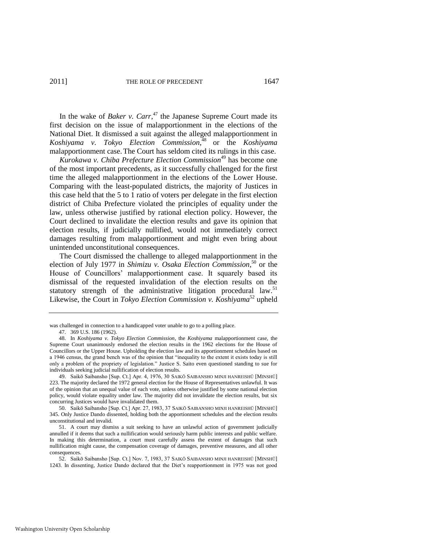In the wake of *Baker v. Carr*, <sup>47</sup> the Japanese Supreme Court made its first decision on the issue of malapportionment in the elections of the National Diet. It dismissed a suit against the alleged malapportionment in *Koshiyama v. Tokyo Election Commission*, <sup>48</sup> or the *Koshiyama* malapportionment case.The Court has seldom cited its rulings in this case.

*Kurokawa v. Chiba Prefecture Election Commission*<sup>49</sup> has become one of the most important precedents, as it successfully challenged for the first time the alleged malapportionment in the elections of the Lower House. Comparing with the least-populated districts, the majority of Justices in this case held that the 5 to 1 ratio of voters per delegate in the first election district of Chiba Prefecture violated the principles of equality under the law, unless otherwise justified by rational election policy. However, the Court declined to invalidate the election results and gave its opinion that election results, if judicially nullified, would not immediately correct damages resulting from malapportionment and might even bring about unintended unconstitutional consequences.

The Court dismissed the challenge to alleged malapportionment in the election of July 1977 in *Shimizu v. Osaka Election Commission*, <sup>50</sup> or the House of Councillors' malapportionment case. It squarely based its dismissal of the requested invalidation of the election results on the statutory strength of the administrative litigation procedural law.<sup>51</sup> Likewise, the Court in *Tokyo Election Commission v. Koshiyama*<sup>52</sup> upheld

was challenged in connection to a handicapped voter unable to go to a polling place.

<sup>47. 369</sup> U.S. 186 (1962).

<sup>48.</sup> In *Koshiyama v. Tokyo Election Commission*, the *Koshiyama* malapportionment case, the Supreme Court unanimously endorsed the election results in the 1962 elections for the House of Councillors or the Upper House. Upholding the election law and its apportionment schedules based on a 1946 census, the grand bench was of the opinion that "inequality to the extent it exists today is still only a problem of the propriety of legislation.‖ Justice S. Saito even questioned standing to sue for individuals seeking judicial nullification of election results.

<sup>49.</sup> Saikō Saibansho [Sup. Ct.] Apr. 4, 1976, 30 SAIKŌ SAIBANSHO MINJI HANREISHŪ [MINSHŪ] 223. The majority declared the 1972 general election for the House of Representatives unlawful. It was of the opinion that an unequal value of each vote, unless otherwise justified by some national election policy, would violate equality under law. The majority did not invalidate the election results, but six concurring Justices would have invalidated them.

<sup>50.</sup> Saikō Saibansho [Sup. Ct.] Apr. 27, 1983, 37 SAIKŌ SAIBANSHO MINJI HANREISHŪ [MINSHŪ] 345. Only Justice Dando dissented, holding both the apportionment schedules and the election results unconstitutional and invalid.

<sup>51.</sup> A court may dismiss a suit seeking to have an unlawful action of government judicially annulled if it deems that such a nullification would seriously harm public interests and public welfare. In making this determination, a court must carefully assess the extent of damages that such nullification might cause, the compensation coverage of damages, preventive measures, and all other consequences.

<sup>52.</sup> Saikō Saibansho [Sup. Ct.] Nov. 7, 1983, 37 SAIKŌ SAIBANSHO MINJI HANREISHŪ [MINSHŪ] 1243. In dissenting, Justice Dando declared that the Diet's reapportionment in 1975 was not good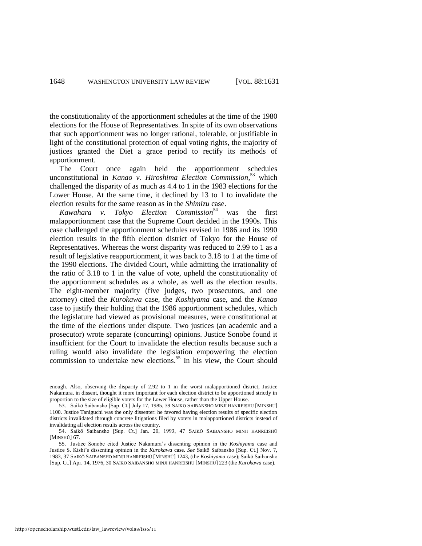the constitutionality of the apportionment schedules at the time of the 1980 elections for the House of Representatives. In spite of its own observations that such apportionment was no longer rational, tolerable, or justifiable in light of the constitutional protection of equal voting rights, the majority of justices granted the Diet a grace period to rectify its methods of apportionment.

The Court once again held the apportionment schedules unconstitutional in *Kanao v. Hiroshima Election Commission*, <sup>53</sup> which challenged the disparity of as much as 4.4 to 1 in the 1983 elections for the Lower House. At the same time, it declined by 13 to 1 to invalidate the election results for the same reason as in the *Shimizu* case.

*Kawahara v. Tokyo Election Commission*<sup>54</sup> was the first malapportionment case that the Supreme Court decided in the 1990s. This case challenged the apportionment schedules revised in 1986 and its 1990 election results in the fifth election district of Tokyo for the House of Representatives. Whereas the worst disparity was reduced to 2.99 to 1 as a result of legislative reapportionment, it was back to 3.18 to 1 at the time of the 1990 elections. The divided Court, while admitting the irrationality of the ratio of 3.18 to 1 in the value of vote, upheld the constitutionality of the apportionment schedules as a whole, as well as the election results. The eight-member majority (five judges, two prosecutors, and one attorney) cited the *Kurokawa* case, the *Koshiyama* case, and the *Kanao* case to justify their holding that the 1986 apportionment schedules, which the legislature had viewed as provisional measures, were constitutional at the time of the elections under dispute. Two justices (an academic and a prosecutor) wrote separate (concurring) opinions. Justice Sonobe found it insufficient for the Court to invalidate the election results because such a ruling would also invalidate the legislation empowering the election commission to undertake new elections.<sup>55</sup> In his view, the Court should

enough. Also, observing the disparity of 2.92 to 1 in the worst malapportioned district, Justice Nakamura, in dissent, thought it more important for each election district to be apportioned strictly in proportion to the size of eligible voters for the Lower House, rather than the Upper House.

<sup>53.</sup> Saikō Saibansho [Sup. Ct.] July 17, 1985, 39 SAIKŌ SAIBANSHO MINJI HANREISHŪ [MINSHŪ] 1100. Justice Taniguchi was the only dissenter: he favored having election results of specific election districts invalidated through concrete litigations filed by voters in malapportioned districts instead of invalidating all election results across the country.

<sup>54.</sup> Saikō Saibansho [Sup. Ct.] Jan. 20, 1993, 47 SAIKŌ SAIBANSHO MINJI HANREISHŪ [MINSHŪ] 67.

<sup>55.</sup> Justice Sonobe cited Justice Nakamura's dissenting opinion in the *Koshiyama* case and Justice S. Kishi's dissenting opinion in the *Kurokawa* case. *See* Saikō Saibansho [Sup. Ct.] Nov. 7, 1983, 37 SAIKŌ SAIBANSHO MINJI HANREISHŪ [MINSHŪ] 1243, (the *Koshiyama* case); Saikō Saibansho [Sup. Ct.] Apr. 14, 1976, 30 SAIKŌ SAIBANSHO MINJI HANREISHŪ [MINSHŪ] 223 (the *Kurokawa* case).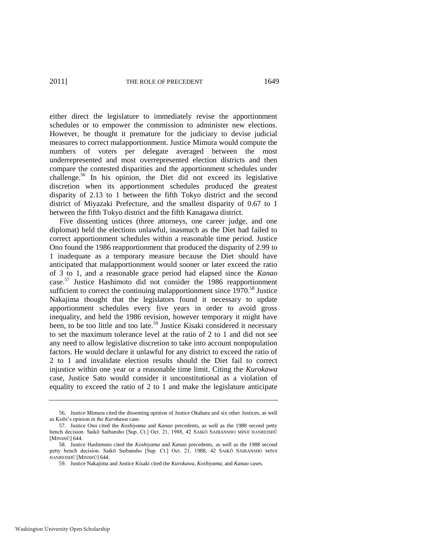either direct the legislature to immediately revise the apportionment schedules or to empower the commission to administer new elections. However, he thought it premature for the judiciary to devise judicial measures to correct malapportionment. Justice Mimura would compute the numbers of voters per delegate averaged between the most underrepresented and most overrepresented election districts and then compare the contested disparities and the apportionment schedules under challenge.<sup>56</sup> In his opinion, the Diet did not exceed its legislative discretion when its apportionment schedules produced the greatest disparity of 2.13 to 1 between the fifth Tokyo district and the second district of Miyazaki Prefecture, and the smallest disparity of 0.67 to 1 between the fifth Tokyo district and the fifth Kanagawa district.

Five dissenting ustices (three attorneys, one career judge, and one diplomat) held the elections unlawful, inasmuch as the Diet had failed to correct apportionment schedules within a reasonable time period. Justice Ono found the 1986 reapportionment that produced the disparity of 2.99 to 1 inadequate as a temporary measure because the Diet should have anticipated that malapportionment would sooner or later exceed the ratio of 3 to 1, and a reasonable grace period had elapsed since the *Kanao* case.<sup>57</sup> Justice Hashimoto did not consider the 1986 reapportionment sufficient to correct the continuing malapportionment since  $1970$ <sup>58</sup> Justice Nakajima thought that the legislators found it necessary to update apportionment schedules every five years in order to avoid gross inequality, and held the 1986 revision, however temporary it might have been, to be too little and too late.<sup>59</sup> Justice Kisaki considered it necessary to set the maximum tolerance level at the ratio of 2 to 1 and did not see any need to allow legislative discretion to take into account nonpopulation factors. He would declare it unlawful for any district to exceed the ratio of 2 to 1 and invalidate election results should the Diet fail to correct injustice within one year or a reasonable time limit. Citing the *Kurokawa* case, Justice Sato would consider it unconstitutional as a violation of equality to exceed the ratio of 2 to 1 and make the legislature anticipate

<sup>56.</sup> Justice Mimura cited the dissenting opinion of Justice Okahara and six other Justices, as well as Kishi's opinion in the *Kurokawa* case.

<sup>57.</sup> Justice Ono cited the *Koshiyama* and *Kanao* precedents, as well as the 1988 second petty bench decision. Saikō Saibansho [Sup. Ct.] Oct. 21, 1988, 42 SAIKŌ SAIBANSHO MINJI HANREISHŪ [MINSHŪ] 644.

<sup>58.</sup> Justice Hashimoto cited the *Koshiyama* and *Kanao* precedents, as well as the 1988 second petty bench decision. Saikō Saibansho [Sup. Ct.] Oct. 21, 1988, 42 SAIKŌ SAIBANSHO MINJI HANREISHŪ [MINSHŪ] 644.

<sup>59.</sup> Justice Nakajima and Justice Kisaki cited the *Kurokawa*, *Koshiyama*, and *Kanao* cases.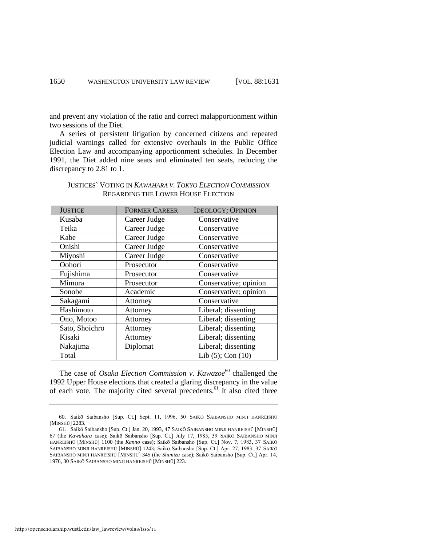and prevent any violation of the ratio and correct malapportionment within two sessions of the Diet.

A series of persistent litigation by concerned citizens and repeated judicial warnings called for extensive overhauls in the Public Office Election Law and accompanying apportionment schedules. In December 1991, the Diet added nine seats and eliminated ten seats, reducing the discrepancy to 2.81 to 1.

| <b>JUSTICE</b> | <b>FORMER CAREER</b> | <b>IDEOLOGY; OPINION</b> |
|----------------|----------------------|--------------------------|
| Kusaba         | Career Judge         | Conservative             |
| Teika          | Career Judge         | Conservative             |
| Kabe           | Career Judge         | Conservative             |
| Onishi         | Career Judge         | Conservative             |
| Miyoshi        | Career Judge         | Conservative             |
| Oohori         | Prosecutor           | Conservative             |
| Fujishima      | Prosecutor           | Conservative             |
| Mimura         | Prosecutor           | Conservative; opinion    |
| Sonobe         | Academic             | Conservative; opinion    |
| Sakagami       | Attorney             | Conservative             |
| Hashimoto      | Attorney             | Liberal; dissenting      |
| Ono, Motoo     | Attorney             | Liberal; dissenting      |
| Sato, Shoichro | Attorney             | Liberal; dissenting      |
| Kisaki         | Attorney             | Liberal; dissenting      |
| Nakajima       | Diplomat             | Liberal; dissenting      |
| Total          |                      | Lib $(5)$ ; Con $(10)$   |

#### JUSTICES' VOTING IN *KAWAHARA V. TOKYO ELECTION COMMISSION* REGARDING THE LOWER HOUSE ELECTION

The case of *Osaka Election Commission v. Kawazoe*<sup>60</sup> challenged the 1992 Upper House elections that created a glaring discrepancy in the value of each vote. The majority cited several precedents.<sup>61</sup> It also cited three

<sup>60.</sup> Saikō Saibansho [Sup. Ct.] Sept. 11, 1996, 50 SAIKŌ SAIBANSHO MINJI HANREISHŪ [MINSHŪ] 2283.

<sup>61.</sup> Saikō Saibansho [Sup. Ct.] Jan. 20, 1993, 47 SAIKŌ SAIBANSHO MINJI HANREISHŪ [MINSHŪ] 67 (the *Kawahara* case); Saikō Saibansho [Sup. Ct.] July 17, 1985, 39 SAIKŌ SAIBANSHO MINJI HANREISHŪ [MINSHŪ] 1100 (the *Kanno* case); Saikō Saibansho [Sup. Ct.] Nov. 7, 1983, 37 SAIKŌ SAIBANSHO MINJI HANREISHŪ [MINSHŪ] 1243; Saikō Saibansho [Sup. Ct.] Apr. 27, 1983, 37 SAIKŌ SAIBANSHO MINJI HANREISHŪ [MINSHŪ] 345 (the *Shimizu* case); Saikō Saibansho [Sup. Ct.] Apr. 14, 1976, 30 SAIKŌ SAIBANSHO MINJI HANREISHŪ [MINSHŪ] 223.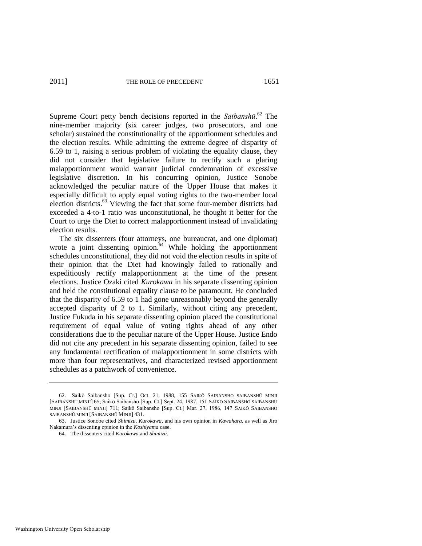Supreme Court petty bench decisions reported in the *Saibanshū*. <sup>62</sup> The nine-member majority (six career judges, two prosecutors, and one scholar) sustained the constitutionality of the apportionment schedules and the election results. While admitting the extreme degree of disparity of 6.59 to 1, raising a serious problem of violating the equality clause, they did not consider that legislative failure to rectify such a glaring malapportionment would warrant judicial condemnation of excessive legislative discretion. In his concurring opinion, Justice Sonobe acknowledged the peculiar nature of the Upper House that makes it especially difficult to apply equal voting rights to the two-member local election districts.<sup>63</sup> Viewing the fact that some four-member districts had exceeded a 4-to-1 ratio was unconstitutional, he thought it better for the Court to urge the Diet to correct malapportionment instead of invalidating election results.

The six dissenters (four attorneys, one bureaucrat, and one diplomat) wrote a joint dissenting opinion.<sup>64</sup> While holding the apportionment schedules unconstitutional, they did not void the election results in spite of their opinion that the Diet had knowingly failed to rationally and expeditiously rectify malapportionment at the time of the present elections. Justice Ozaki cited *Kurokawa* in his separate dissenting opinion and held the constitutional equality clause to be paramount. He concluded that the disparity of 6.59 to 1 had gone unreasonably beyond the generally accepted disparity of 2 to 1. Similarly, without citing any precedent, Justice Fukuda in his separate dissenting opinion placed the constitutional requirement of equal value of voting rights ahead of any other considerations due to the peculiar nature of the Upper House. Justice Endo did not cite any precedent in his separate dissenting opinion, failed to see any fundamental rectification of malapportionment in some districts with more than four representatives, and characterized revised apportionment schedules as a patchwork of convenience.

<sup>62.</sup> Saikō Saibansho [Sup. Ct.] Oct. 21, 1988, 155 SAIKŌ SAIBANSHO SAIBANSHŪ MINJI [SAIBANSHŪ MINJI] 65; Saikō Saibansho [Sup. Ct.] Sept. 24, 1987, 151 SAIKŌ SAIBANSHO SAIBANSHŪ MINJI [SAIBANSHŪ MINJI] 711; Saikō Saibansho [Sup. Ct.] Mar. 27, 1986, 147 SAIKŌ SAIBANSHO SAIBANSHŪ MINJI [SAIBANSHŪ MINJI] 431.

<sup>63.</sup> Justice Sonobe cited *Shimizu*, *Kurokawa*, and his own opinion in *Kawahara*, as well as Jiro Nakamura's dissenting opinion in the *Koshiyama* case.

<sup>64.</sup> The dissenters cited *Kurokawa* and *Shimizu*.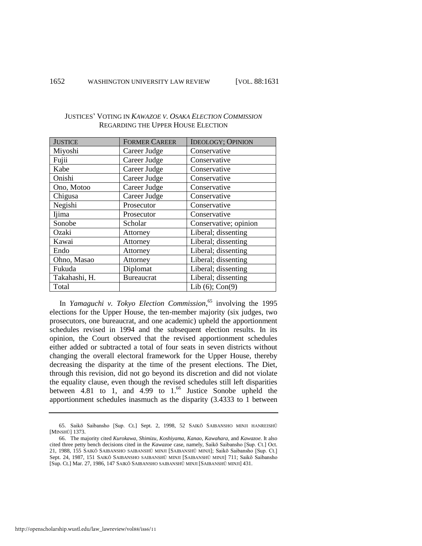| <b>JUSTICE</b> | <b>FORMER CAREER</b> | <b>IDEOLOGY; OPINION</b> |
|----------------|----------------------|--------------------------|
| Miyoshi        | Career Judge         | Conservative             |
| Fujii          | Career Judge         | Conservative             |
| Kabe           | Career Judge         | Conservative             |
| Onishi         | Career Judge         | Conservative             |
| Ono, Motoo     | Career Judge         | Conservative             |
| Chigusa        | Career Judge         | Conservative             |
| Negishi        | Prosecutor           | Conservative             |
| Ijima          | Prosecutor           | Conservative             |
| Sonobe         | Scholar              | Conservative; opinion    |
| Ozaki          | Attorney             | Liberal; dissenting      |
| Kawai          | Attorney             | Liberal; dissenting      |
| Endo           | Attorney             | Liberal; dissenting      |
| Ohno, Masao    | Attorney             | Liberal; dissenting      |
| Fukuda         | Diplomat             | Liberal; dissenting      |
| Takahashi, H.  | <b>Bureaucrat</b>    | Liberal; dissenting      |
| Total          |                      | Lib $(6)$ ; Con $(9)$    |

#### JUSTICES' VOTING IN *KAWAZOE V. OSAKA ELECTION COMMISSION* REGARDING THE UPPER HOUSE ELECTION

In *Yamaguchi v. Tokyo Election Commission*, <sup>65</sup> involving the 1995 elections for the Upper House, the ten-member majority (six judges, two prosecutors, one bureaucrat, and one academic) upheld the apportionment schedules revised in 1994 and the subsequent election results. In its opinion, the Court observed that the revised apportionment schedules either added or subtracted a total of four seats in seven districts without changing the overall electoral framework for the Upper House, thereby decreasing the disparity at the time of the present elections. The Diet, through this revision, did not go beyond its discretion and did not violate the equality clause, even though the revised schedules still left disparities between  $4.81$  to 1, and  $4.99$  to  $1.^{66}$  Justice Sonobe upheld the apportionment schedules inasmuch as the disparity (3.4333 to 1 between

<sup>65.</sup> Saikō Saibansho [Sup. Ct.] Sept. 2, 1998, 52 SAIKŌ SAIBANSHO MINJI HANREISHŪ [MINSHŪ] 1373.

<sup>66.</sup> The majority cited *Kurokawa*, *Shimizu*, *Koshiyama*, *Kanao*, *Kawahara*, and *Kawazoe*. It also cited three petty bench decisions cited in the *Kawazoe* case, namely, Saikō Saibansho [Sup. Ct.] Oct. 21, 1988, 155 SAIKŌ SAIBANSHO SAIBANSHŪ MINJI [SAIBANSHŪ MINJI]; Saikō Saibansho [Sup. Ct.] Sept. 24, 1987, 151 SAIKŌ SAIBANSHO SAIBANSHŪ MINJI [SAIBANSHŪ MINJI] 711; Saikō Saibansho [Sup. Ct.] Mar. 27, 1986, 147 SAIKŌ SAIBANSHO SAIBANSHŪ MINJI [SAIBANSHŪ MINJI] 431.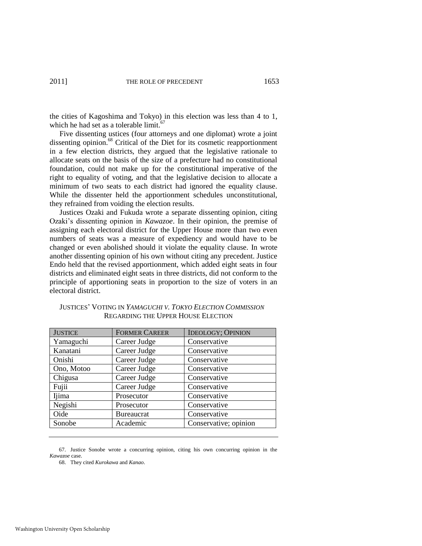the cities of Kagoshima and Tokyo) in this election was less than 4 to 1, which he had set as a tolerable limit.<sup>67</sup>

Five dissenting ustices (four attorneys and one diplomat) wrote a joint dissenting opinion.<sup>68</sup> Critical of the Diet for its cosmetic reapportionment in a few election districts, they argued that the legislative rationale to allocate seats on the basis of the size of a prefecture had no constitutional foundation, could not make up for the constitutional imperative of the right to equality of voting, and that the legislative decision to allocate a minimum of two seats to each district had ignored the equality clause. While the dissenter held the apportionment schedules unconstitutional, they refrained from voiding the election results.

Justices Ozaki and Fukuda wrote a separate dissenting opinion, citing Ozaki's dissenting opinion in *Kawazoe*. In their opinion, the premise of assigning each electoral district for the Upper House more than two even numbers of seats was a measure of expediency and would have to be changed or even abolished should it violate the equality clause. In wrote another dissenting opinion of his own without citing any precedent. Justice Endo held that the revised apportionment, which added eight seats in four districts and eliminated eight seats in three districts, did not conform to the principle of apportioning seats in proportion to the size of voters in an electoral district.

| <b>JUSTICE</b> | <b>FORMER CAREER</b> | <b>IDEOLOGY; OPINION</b> |
|----------------|----------------------|--------------------------|
| Yamaguchi      | Career Judge         | Conservative             |
| Kanatani       | Career Judge         | Conservative             |
| Onishi         | Career Judge         | Conservative             |
| Ono, Motoo     | Career Judge         | Conservative             |
| Chigusa        | Career Judge         | Conservative             |
| Fujii          | Career Judge         | Conservative             |
| Ijima          | Prosecutor           | Conservative             |
| Negishi        | Prosecutor           | Conservative             |
| Oide           | <b>Bureaucrat</b>    | Conservative             |
| Sonobe         | Academic             | Conservative; opinion    |

JUSTICES' VOTING IN *YAMAGUCHI V. TOKYO ELECTION COMMISSION* REGARDING THE UPPER HOUSE ELECTION

67. Justice Sonobe wrote a concurring opinion, citing his own concurring opinion in the *Kawazoe* case.

68. They cited *Kurokawa* and *Kanao*.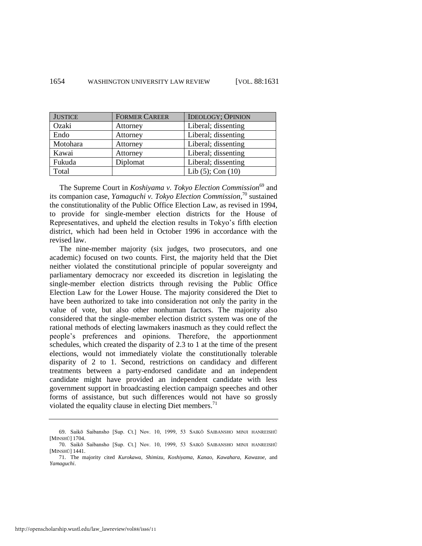| <b>JUSTICE</b> | <b>FORMER CAREER</b> | <b>IDEOLOGY; OPINION</b> |
|----------------|----------------------|--------------------------|
| Ozaki          | Attorney             | Liberal; dissenting      |
| Endo           | Attorney             | Liberal; dissenting      |
| Motohara       | Attorney             | Liberal; dissenting      |
| Kawai          | Attorney             | Liberal; dissenting      |
| Fukuda         | Diplomat             | Liberal; dissenting      |
| Total          |                      | Lib $(5)$ ; Con $(10)$   |

The Supreme Court in *Koshiyama v. Tokyo Election Commission*<sup>69</sup> and its companion case, *Yamaguchi v. Tokyo Election Commission*, <sup>70</sup> sustained the constitutionality of the Public Office Election Law, as revised in 1994, to provide for single-member election districts for the House of Representatives, and upheld the election results in Tokyo's fifth election district, which had been held in October 1996 in accordance with the revised law.

The nine-member majority (six judges, two prosecutors, and one academic) focused on two counts. First, the majority held that the Diet neither violated the constitutional principle of popular sovereignty and parliamentary democracy nor exceeded its discretion in legislating the single-member election districts through revising the Public Office Election Law for the Lower House. The majority considered the Diet to have been authorized to take into consideration not only the parity in the value of vote, but also other nonhuman factors. The majority also considered that the single-member election district system was one of the rational methods of electing lawmakers inasmuch as they could reflect the people's preferences and opinions. Therefore, the apportionment schedules, which created the disparity of 2.3 to 1 at the time of the present elections, would not immediately violate the constitutionally tolerable disparity of 2 to 1. Second, restrictions on candidacy and different treatments between a party-endorsed candidate and an independent candidate might have provided an independent candidate with less government support in broadcasting election campaign speeches and other forms of assistance, but such differences would not have so grossly violated the equality clause in electing Diet members.<sup>71</sup>

<sup>69.</sup> Saikō Saibansho [Sup. Ct.] Nov. 10, 1999, 53 SAIKŌ SAIBANSHO MINJI HANREISHŪ [MINSHŪ] 1704.

<sup>70.</sup> Saikō Saibansho [Sup. Ct.] Nov. 10, 1999, 53 SAIKŌ SAIBANSHO MINJI HANREISHŪ [MINSHŪ] 1441.

<sup>71.</sup> The majority cited *Kurokawa*, *Shimizu*, *Koshiyama*, *Kanao*, *Kawahara*, *Kawazoe*, and *Yamaguchi*.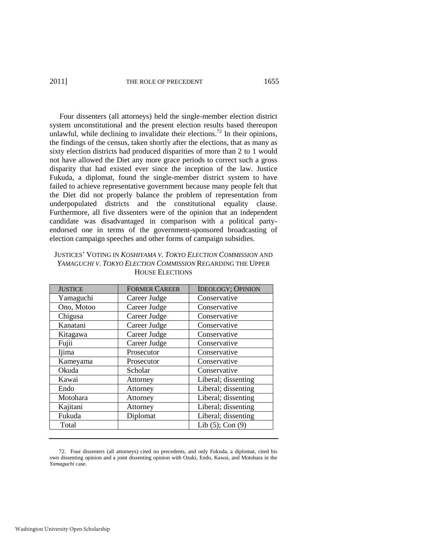#### 2011] THE ROLE OF PRECEDENT 1655

Four dissenters (all attorneys) held the single-member election district system unconstitutional and the present election results based thereupon unlawful, while declining to invalidate their elections.<sup>72</sup> In their opinions, the findings of the census, taken shortly after the elections, that as many as sixty election districts had produced disparities of more than 2 to 1 would not have allowed the Diet any more grace periods to correct such a gross disparity that had existed ever since the inception of the law. Justice Fukuda, a diplomat, found the single-member district system to have failed to achieve representative government because many people felt that the Diet did not properly balance the problem of representation from underpopulated districts and the constitutional equality clause. Furthermore, all five dissenters were of the opinion that an independent candidate was disadvantaged in comparison with a political partyendorsed one in terms of the government-sponsored broadcasting of election campaign speeches and other forms of campaign subsidies.

| <b>JUSTICES' VOTING IN KOSHIYAMA V. TOKYO ELECTION COMMISSION AND</b> |
|-----------------------------------------------------------------------|
| YAMAGUCHI V. TOKYO ELECTION COMMISSION REGARDING THE UPPER            |
| <b>HOUSE ELECTIONS</b>                                                |

| <b>JUSTICE</b> | <b>FORMER CAREER</b> | <b>IDEOLOGY; OPINION</b> |
|----------------|----------------------|--------------------------|
| Yamaguchi      | Career Judge         | Conservative             |
| Ono, Motoo     | Career Judge         | Conservative             |
| Chigusa        | Career Judge         | Conservative             |
| Kanatani       | Career Judge         | Conservative             |
| Kitagawa       | Career Judge         | Conservative             |
| Fujii          | Career Judge         | Conservative             |
| Ijima          | Prosecutor           | Conservative             |
| Kameyama       | Prosecutor           | Conservative             |
| Okuda          | Scholar              | Conservative             |
| Kawai          | Attorney             | Liberal; dissenting      |
| Endo           | Attorney             | Liberal; dissenting      |
| Motohara       | Attorney             | Liberal; dissenting      |
| Kajitani       | Attorney             | Liberal; dissenting      |
| Fukuda         | Diplomat             | Liberal; dissenting      |
| Total          |                      | Lib $(5)$ ; Con $(9)$    |

<sup>72.</sup> Four dissenters (all attorneys) cited no precedents, and only Fukuda, a diplomat, cited his own dissenting opinion and a joint dissenting opinion with Ozaki, Endo, Kawai, and Motohara in the *Yamaguchi* case.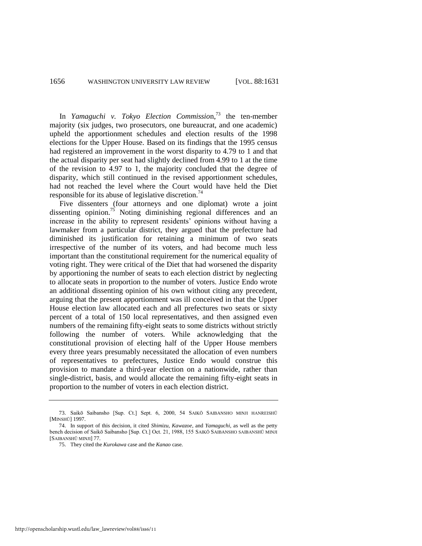In *Yamaguchi v. Tokyo Election Commission*,<sup>73</sup> the ten-member majority (six judges, two prosecutors, one bureaucrat, and one academic) upheld the apportionment schedules and election results of the 1998 elections for the Upper House. Based on its findings that the 1995 census had registered an improvement in the worst disparity to 4.79 to 1 and that the actual disparity per seat had slightly declined from 4.99 to 1 at the time of the revision to 4.97 to 1, the majority concluded that the degree of disparity, which still continued in the revised apportionment schedules, had not reached the level where the Court would have held the Diet responsible for its abuse of legislative discretion.<sup>74</sup>

Five dissenters (four attorneys and one diplomat) wrote a joint dissenting opinion.<sup>75</sup> Noting diminishing regional differences and an increase in the ability to represent residents' opinions without having a lawmaker from a particular district, they argued that the prefecture had diminished its justification for retaining a minimum of two seats irrespective of the number of its voters, and had become much less important than the constitutional requirement for the numerical equality of voting right. They were critical of the Diet that had worsened the disparity by apportioning the number of seats to each election district by neglecting to allocate seats in proportion to the number of voters. Justice Endo wrote an additional dissenting opinion of his own without citing any precedent, arguing that the present apportionment was ill conceived in that the Upper House election law allocated each and all prefectures two seats or sixty percent of a total of 150 local representatives, and then assigned even numbers of the remaining fifty-eight seats to some districts without strictly following the number of voters. While acknowledging that the constitutional provision of electing half of the Upper House members every three years presumably necessitated the allocation of even numbers of representatives to prefectures, Justice Endo would construe this provision to mandate a third-year election on a nationwide, rather than single-district, basis, and would allocate the remaining fifty-eight seats in proportion to the number of voters in each election district.

<sup>73.</sup> Saikō Saibansho [Sup. Ct.] Sept. 6, 2000, 54 SAIKŌ SAIBANSHO MINJI HANREISHŪ [MINSHŪ] 1997.

<sup>74.</sup> In support of this decision, it cited *Shimizu*, *Kawazoe*, and *Yamaguchi*, as well as the petty bench decision of Saikō Saibansho [Sup. Ct.] Oct. 21, 1988, 155 SAIKŌ SAIBANSHO SAIBANSHŪ MINJI [SAIBANSHŪ MINJI] 77.

<sup>75.</sup> They cited the *Kurokawa* case and the *Kanao* case.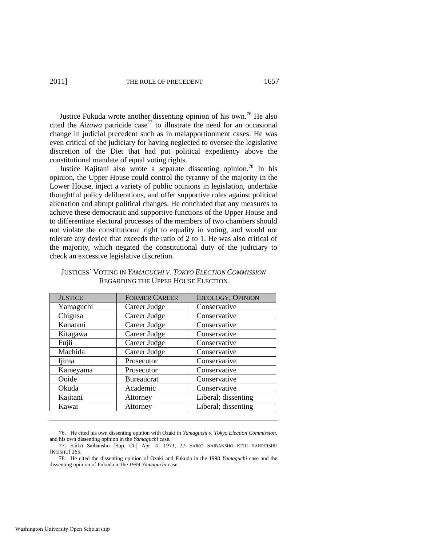Justice Fukuda wrote another dissenting opinion of his own.<sup>76</sup> He also cited the *Aizawa* patricide case<sup>77</sup> to illustrate the need for an occasional change in judicial precedent such as in malapportionment cases. He was even critical of the judiciary for having neglected to oversee the legislative discretion of the Diet that had put political expediency above the constitutional mandate of equal voting rights.

Justice Kajitani also wrote a separate dissenting opinion.<sup>78</sup> In his opinion, the Upper House could control the tyranny of the majority in the Lower House, inject a variety of public opinions in legislation, undertake thoughtful policy deliberations, and offer supportive roles against political alienation and abrupt political changes. He concluded that any measures to achieve these democratic and supportive functions of the Upper House and to differentiate electoral processes of the members of two chambers should not violate the constitutional right to equality in voting, and would not tolerate any device that exceeds the ratio of 2 to 1. He was also critical of the majority, which negated the constitutional duty of the judiciary to check an excessive legislative discretion.

| <b>JUSTICE</b> | <b>FORMER CAREER</b> | <b>IDEOLOGY; OPINION</b> |
|----------------|----------------------|--------------------------|
| Yamaguchi      | Career Judge         | Conservative             |
| Chigusa        | Career Judge         | Conservative             |
| Kanatani       | Career Judge         | Conservative             |
| Kitagawa       | Career Judge         | Conservative             |
| Fujii          | Career Judge         | Conservative             |
| Machida        | Career Judge         | Conservative             |
| Ijima          | Prosecutor           | Conservative             |
| Kameyama       | Prosecutor           | Conservative             |
| Ooide          | Bureaucrat           | Conservative             |
| Okuda          | Academic             | Conservative             |
| Kajitani       | Attorney             | Liberal; dissenting      |
| Kawai          | Attorney             | Liberal; dissenting      |

JUSTICES' VOTING IN *YAMAGUCHI V. TOKYO ELECTION COMMISSION* REGARDING THE UPPER HOUSE ELECTION

76. He cited his own dissenting opinion with Ozaki in *Yamaguchi v. Tokyo Election Commission*, and his own dissenting opinion in the *Yamaguchi* case.

<sup>77.</sup> Saikō Saibansho [Sup. Ct.] Apr. 4, 1973, 27 SAIKŌ SAIBANSHO KEIJI HANREISHŪ [KEISHŪ] 265.

<sup>78.</sup> He cited the dissenting opinion of Ozaki and Fukuda in the 1998 *Yamaguchi* case and the dissenting opinion of Fukuda in the 1999 *Yamaguchi* case.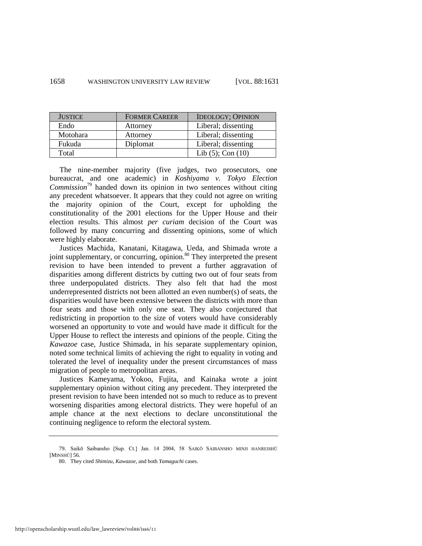| <b>JUSTICE</b> | <b>FORMER CAREER</b> | <b>IDEOLOGY; OPINION</b> |
|----------------|----------------------|--------------------------|
| Endo           | Attorney             | Liberal; dissenting      |
| Motohara       | Attorney             | Liberal; dissenting      |
| Fukuda         | Diplomat             | Liberal; dissenting      |
| Total          |                      | Lib $(5)$ ; Con $(10)$   |

The nine-member majority (five judges, two prosecutors, one bureaucrat, and one academic) in *Koshiyama v. Tokyo Election Commission*<sup>79</sup> handed down its opinion in two sentences without citing any precedent whatsoever. It appears that they could not agree on writing the majority opinion of the Court, except for upholding the constitutionality of the 2001 elections for the Upper House and their election results. This almost *per curiam* decision of the Court was followed by many concurring and dissenting opinions, some of which were highly elaborate.

Justices Machida, Kanatani, Kitagawa, Ueda, and Shimada wrote a joint supplementary, or concurring, opinion.<sup>80</sup> They interpreted the present revision to have been intended to prevent a further aggravation of disparities among different districts by cutting two out of four seats from three underpopulated districts. They also felt that had the most underrepresented districts not been allotted an even number(s) of seats, the disparities would have been extensive between the districts with more than four seats and those with only one seat. They also conjectured that redistricting in proportion to the size of voters would have considerably worsened an opportunity to vote and would have made it difficult for the Upper House to reflect the interests and opinions of the people. Citing the *Kawazoe* case, Justice Shimada, in his separate supplementary opinion, noted some technical limits of achieving the right to equality in voting and tolerated the level of inequality under the present circumstances of mass migration of people to metropolitan areas.

Justices Kameyama, Yokoo, Fujita, and Kainaka wrote a joint supplementary opinion without citing any precedent. They interpreted the present revision to have been intended not so much to reduce as to prevent worsening disparities among electoral districts. They were hopeful of an ample chance at the next elections to declare unconstitutional the continuing negligence to reform the electoral system.

<sup>79.</sup> Saikō Saibansho [Sup. Ct.] Jan. 14 2004, 58 SAIKŌ SAIBANSHO MINJI HANREISHŪ [MINSHŪ] 56.

<sup>80.</sup> They cited *Shimizu*, *Kawazoe*, and both *Yamaguchi* cases.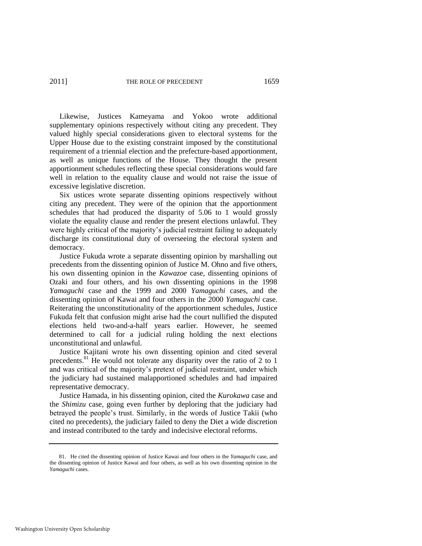Likewise, Justices Kameyama and Yokoo wrote additional supplementary opinions respectively without citing any precedent. They valued highly special considerations given to electoral systems for the Upper House due to the existing constraint imposed by the constitutional requirement of a triennial election and the prefecture-based apportionment, as well as unique functions of the House. They thought the present apportionment schedules reflecting these special considerations would fare well in relation to the equality clause and would not raise the issue of excessive legislative discretion.

Six ustices wrote separate dissenting opinions respectively without citing any precedent. They were of the opinion that the apportionment schedules that had produced the disparity of 5.06 to 1 would grossly violate the equality clause and render the present elections unlawful. They were highly critical of the majority's judicial restraint failing to adequately discharge its constitutional duty of overseeing the electoral system and democracy.

Justice Fukuda wrote a separate dissenting opinion by marshalling out precedents from the dissenting opinion of Justice M. Ohno and five others, his own dissenting opinion in the *Kawazoe* case, dissenting opinions of Ozaki and four others, and his own dissenting opinions in the 1998 *Yamaguchi* case and the 1999 and 2000 *Yamaguchi* cases, and the dissenting opinion of Kawai and four others in the 2000 *Yamaguchi* case. Reiterating the unconstitutionality of the apportionment schedules, Justice Fukuda felt that confusion might arise had the court nullified the disputed elections held two-and-a-half years earlier. However, he seemed determined to call for a judicial ruling holding the next elections unconstitutional and unlawful.

Justice Kajitani wrote his own dissenting opinion and cited several precedents.<sup>81</sup> He would not tolerate any disparity over the ratio of 2 to 1 and was critical of the majority's pretext of judicial restraint, under which the judiciary had sustained malapportioned schedules and had impaired representative democracy.

Justice Hamada, in his dissenting opinion, cited the *Kurokawa* case and the *Shimizu* case, going even further by deploring that the judiciary had betrayed the people's trust. Similarly, in the words of Justice Takii (who cited no precedents), the judiciary failed to deny the Diet a wide discretion and instead contributed to the tardy and indecisive electoral reforms.

<sup>81.</sup> He cited the dissenting opinion of Justice Kawai and four others in the *Yamaguchi* case, and the dissenting opinion of Justice Kawai and four others, as well as his own dissenting opinion in the *Yamaguchi* cases.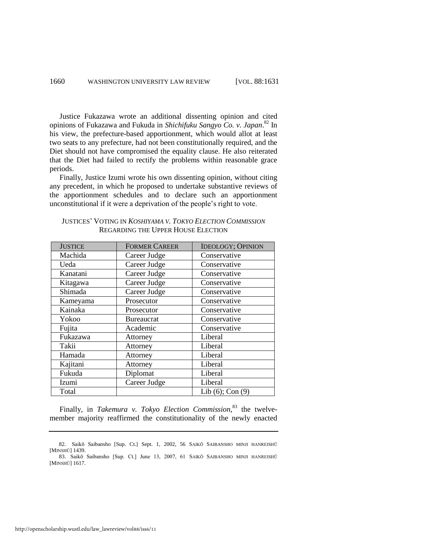Justice Fukazawa wrote an additional dissenting opinion and cited opinions of Fukazawa and Fukuda in *Shichifuku Sangyo Co. v. Japan*. <sup>82</sup> In his view, the prefecture-based apportionment, which would allot at least two seats to any prefecture, had not been constitutionally required, and the Diet should not have compromised the equality clause. He also reiterated that the Diet had failed to rectify the problems within reasonable grace periods.

Finally, Justice Izumi wrote his own dissenting opinion, without citing any precedent, in which he proposed to undertake substantive reviews of the apportionment schedules and to declare such an apportionment unconstitutional if it were a deprivation of the people's right to vote.

| <b>JUSTICE</b> | <b>FORMER CAREER</b> | <b>IDEOLOGY; OPINION</b> |
|----------------|----------------------|--------------------------|
| Machida        | Career Judge         | Conservative             |
| Ueda           | Career Judge         | Conservative             |
| Kanatani       | Career Judge         | Conservative             |
| Kitagawa       | Career Judge         | Conservative             |
| Shimada        | Career Judge         | Conservative             |
| Kameyama       | Prosecutor           | Conservative             |
| Kainaka        | Prosecutor           | Conservative             |
| Yokoo          | <b>Bureaucrat</b>    | Conservative             |
| Fujita         | Academic             | Conservative             |
| Fukazawa       | Attorney             | Liberal                  |
| Takii          | Attorney             | Liberal                  |
| Hamada         | Attorney             | Liberal                  |
| Kajitani       | Attorney             | Liberal                  |
| Fukuda         | Diplomat             | Liberal                  |
| Izumi          | Career Judge         | Liberal                  |
| Total          |                      | Lib $(6)$ ; Con $(9)$    |

JUSTICES' VOTING IN *KOSHIYAMA V. TOKYO ELECTION COMMISSION* REGARDING THE UPPER HOUSE ELECTION

Finally, in *Takemura v. Tokyo Election Commission*, <sup>83</sup> the twelvemember majority reaffirmed the constitutionality of the newly enacted

<sup>82.</sup> Saikō Saibansho [Sup. Ct.] Sept. 1, 2002, 56 SAIKŌ SAIBANSHO MINJI HANREISHŪ [MINSHŪ] 1439. 83. Saikō Saibansho [Sup. Ct.] June 13, 2007, 61 SAIKŌ SAIBANSHO MINJI HANREISHŪ

<sup>[</sup>MINSHŪ] 1617.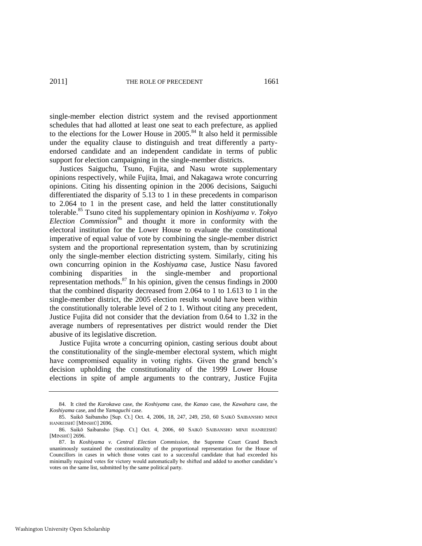single-member election district system and the revised apportionment schedules that had allotted at least one seat to each prefecture, as applied to the elections for the Lower House in  $2005$ .<sup>84</sup> It also held it permissible under the equality clause to distinguish and treat differently a partyendorsed candidate and an independent candidate in terms of public support for election campaigning in the single-member districts.

Justices Saiguchu, Tsuno, Fujita, and Nasu wrote supplementary opinions respectively, while Fujita, Imai, and Nakagawa wrote concurring opinions. Citing his dissenting opinion in the 2006 decisions, Saiguchi differentiated the disparity of 5.13 to 1 in these precedents in comparison to 2.064 to 1 in the present case, and held the latter constitutionally tolerable.<sup>85</sup> Tsuno cited his supplementary opinion in *Koshiyama v. Tokyo Election Commission*<sup>86</sup> and thought it more in conformity with the electoral institution for the Lower House to evaluate the constitutional imperative of equal value of vote by combining the single-member district system and the proportional representation system, than by scrutinizing only the single-member election districting system. Similarly, citing his own concurring opinion in the *Koshiyama* case, Justice Nasu favored combining disparities in the single-member and proportional representation methods. ${}^{87}$  In his opinion, given the census findings in 2000 that the combined disparity decreased from 2.064 to 1 to 1.613 to 1 in the single-member district, the 2005 election results would have been within the constitutionally tolerable level of 2 to 1. Without citing any precedent, Justice Fujita did not consider that the deviation from 0.64 to 1.32 in the average numbers of representatives per district would render the Diet abusive of its legislative discretion.

Justice Fujita wrote a concurring opinion, casting serious doubt about the constitutionality of the single-member electoral system, which might have compromised equality in voting rights. Given the grand bench's decision upholding the constitutionality of the 1999 Lower House elections in spite of ample arguments to the contrary, Justice Fujita

<sup>84.</sup> It cited the *Kurokawa* case, the *Koshiyama* case, the *Kanao* case, the *Kawahara* case, the *Koshiyama* case, and the *Yamaguchi* case.

<sup>85.</sup> Saikō Saibansho [Sup. Ct.] Oct. 4, 2006, 18, 247, 249, 250, 60 SAIKŌ SAIBANSHO MINJI HANREISHŪ [MINSHŪ] 2696.

<sup>86.</sup> Saikō Saibansho [Sup. Ct.] Oct. 4, 2006, 60 SAIKŌ SAIBANSHO MINJI HANREISHŪ [MINSHŪ] 2696.

<sup>87.</sup> In *Koshiyama v. Central Election Commission*, the Supreme Court Grand Bench unanimously sustained the constitutionality of the proportional representation for the House of Councillors in cases in which those votes cast to a successful candidate that had exceeded his minimally required votes for victory would automatically be shifted and added to another candidate's votes on the same list, submitted by the same political party.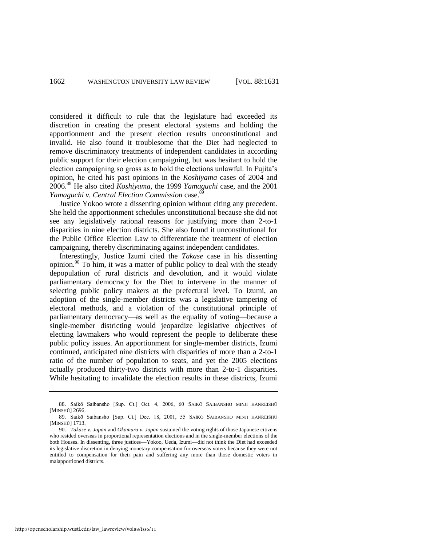considered it difficult to rule that the legislature had exceeded its discretion in creating the present electoral systems and holding the apportionment and the present election results unconstitutional and invalid. He also found it troublesome that the Diet had neglected to remove discriminatory treatments of independent candidates in according public support for their election campaigning, but was hesitant to hold the election campaigning so gross as to hold the elections unlawful. In Fujita's opinion, he cited his past opinions in the *Koshiyama* cases of 2004 and 2006.<sup>88</sup> He also cited *Koshiyama*, the 1999 *Yamaguchi* case, and the 2001 *Yamaguchi v. Central Election Commission* case.<sup>89</sup>

Justice Yokoo wrote a dissenting opinion without citing any precedent. She held the apportionment schedules unconstitutional because she did not see any legislatively rational reasons for justifying more than 2-to-1 disparities in nine election districts. She also found it unconstitutional for the Public Office Election Law to differentiate the treatment of election campaigning, thereby discriminating against independent candidates.

Interestingly, Justice Izumi cited the *Takase* case in his dissenting opinion.<sup>90</sup> To him, it was a matter of public policy to deal with the steady depopulation of rural districts and devolution, and it would violate parliamentary democracy for the Diet to intervene in the manner of selecting public policy makers at the prefectural level. To Izumi, an adoption of the single-member districts was a legislative tampering of electoral methods, and a violation of the constitutional principle of parliamentary democracy—as well as the equality of voting—because a single-member districting would jeopardize legislative objectives of electing lawmakers who would represent the people to deliberate these public policy issues. An apportionment for single-member districts, Izumi continued, anticipated nine districts with disparities of more than a 2-to-1 ratio of the number of population to seats, and yet the 2005 elections actually produced thirty-two districts with more than 2-to-1 disparities. While hesitating to invalidate the election results in these districts, Izumi

http://openscholarship.wustl.edu/law\_lawreview/vol88/iss6/11

<sup>88.</sup> Saikō Saibansho [Sup. Ct.] Oct. 4, 2006, 60 SAIKŌ SAIBANSHO MINJI HANREISHŪ [MINSHŪ] 2696.

<sup>89.</sup> Saikō Saibansho [Sup. Ct.] Dec. 18, 2001, 55 SAIKŌ SAIBANSHO MINJI HANREISHŪ [MINSHŪ] 1713.

<sup>90.</sup> *Takase v. Japan* and *Okamura v. Japan* sustained the voting rights of those Japanese citizens who resided overseas in proportional representation elections and in the single-member elections of the both Houses. In dissenting, three justices—Yokoo, Ueda, Izumi—did not think the Diet had exceeded its legislative discretion in denying monetary compensation for overseas voters because they were not entitled to compensation for their pain and suffering any more than those domestic voters in malapportioned districts.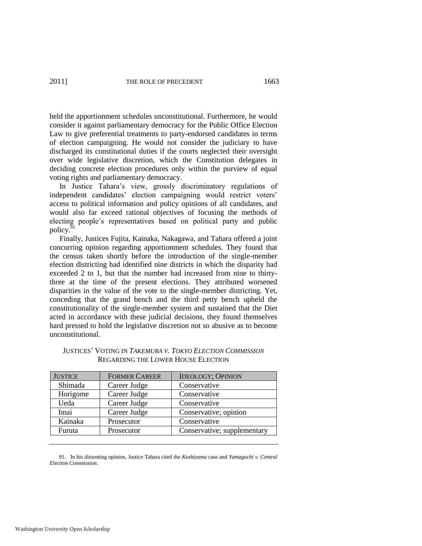held the apportionment schedules unconstitutional. Furthermore, he would consider it against parliamentary democracy for the Public Office Election Law to give preferential treatments to party-endorsed candidates in terms of election campaigning. He would not consider the judiciary to have discharged its constitutional duties if the courts neglected their oversight over wide legislative discretion, which the Constitution delegates in deciding concrete election procedures only within the purview of equal voting rights and parliamentary democracy.

In Justice Tahara's view, grossly discriminatory regulations of independent candidates' election campaigning would restrict voters' access to political information and policy opinions of all candidates, and would also far exceed rational objectives of focusing the methods of electing people's representatives based on political party and public policy.

Finally, Justices Fujita, Kainaka, Nakagawa, and Tahara offered a joint concurring opinion regarding apportionment schedules. They found that the census taken shortly before the introduction of the single-member election districting had identified nine districts in which the disparity had exceeded 2 to 1, but that the number had increased from nine to thirtythree at the time of the present elections. They attributed worsened disparities in the value of the vote to the single-member districting. Yet, conceding that the grand bench and the third petty bench upheld the constitutionality of the single-member system and sustained that the Diet acted in accordance with these judicial decisions, they found themselves hard pressed to hold the legislative discretion not so abusive as to become unconstitutional.

| <b>JUSTICE</b> | <b>FORMER CAREER</b> | <b>IDEOLOGY; OPINION</b>    |
|----------------|----------------------|-----------------------------|
| Shimada        | Career Judge         | Conservative                |
| Horigome       | Career Judge         | Conservative                |
| Ueda           | Career Judge         | Conservative                |
| Imai           | Career Judge         | Conservative; opinion       |
| Kainaka        | Prosecutor           | Conservative                |
| Furuta         | Prosecutor           | Conservative; supplementary |

| <b>JUSTICES' VOTING IN TAKEMURA V. TOKYO ELECTION COMMISSION</b> |
|------------------------------------------------------------------|
| <b>REGARDING THE LOWER HOUSE ELECTION</b>                        |

91. In his dissenting opinion, Justice Tahara cited the *Koshiyama* case and *Yamaguchi v. Central Election Commission*.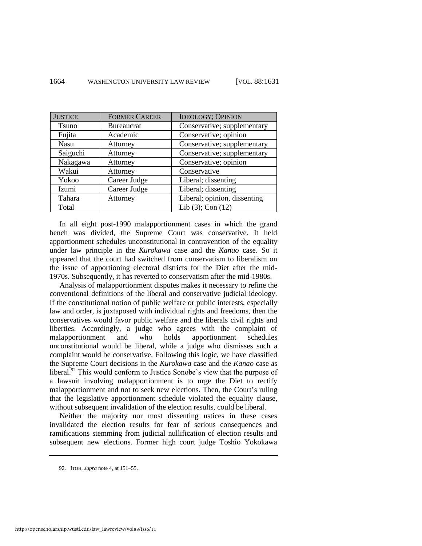| <b>JUSTICE</b> | <b>FORMER CAREER</b> | <b>IDEOLOGY; OPINION</b>     |
|----------------|----------------------|------------------------------|
| <b>T</b> suno  | <b>Bureaucrat</b>    | Conservative; supplementary  |
| Fujita         | Academic             | Conservative; opinion        |
| Nasu           | Attorney             | Conservative; supplementary  |
| Saiguchi       | Attorney             | Conservative; supplementary  |
| Nakagawa       | Attorney             | Conservative; opinion        |
| Wakui          | Attorney             | Conservative                 |
| Yokoo          | Career Judge         | Liberal; dissenting          |
| Izumi          | Career Judge         | Liberal; dissenting          |
| Tahara         | Attorney             | Liberal; opinion, dissenting |
| Total          |                      | Lib $(3)$ ; Con $(12)$       |

In all eight post-1990 malapportionment cases in which the grand bench was divided, the Supreme Court was conservative. It held apportionment schedules unconstitutional in contravention of the equality under law principle in the *Kurokawa* case and the *Kanao* case. So it appeared that the court had switched from conservatism to liberalism on the issue of apportioning electoral districts for the Diet after the mid-1970s. Subsequently, it has reverted to conservatism after the mid-1980s.

Analysis of malapportionment disputes makes it necessary to refine the conventional definitions of the liberal and conservative judicial ideology. If the constitutional notion of public welfare or public interests, especially law and order, is juxtaposed with individual rights and freedoms, then the conservatives would favor public welfare and the liberals civil rights and liberties. Accordingly, a judge who agrees with the complaint of malapportionment and who holds apportionment schedules unconstitutional would be liberal, while a judge who dismisses such a complaint would be conservative. Following this logic, we have classified the Supreme Court decisions in the *Kurokawa* case and the *Kanao* case as liberal.<sup>92</sup> This would conform to Justice Sonobe's view that the purpose of a lawsuit involving malapportionment is to urge the Diet to rectify malapportionment and not to seek new elections. Then, the Court's ruling that the legislative apportionment schedule violated the equality clause, without subsequent invalidation of the election results, could be liberal.

Neither the majority nor most dissenting ustices in these cases invalidated the election results for fear of serious consequences and ramifications stemming from judicial nullification of election results and subsequent new elections. Former high court judge Toshio Yokokawa

<sup>92.</sup> ITOH, *supra* not[e 4,](#page-2-0) at 151–55.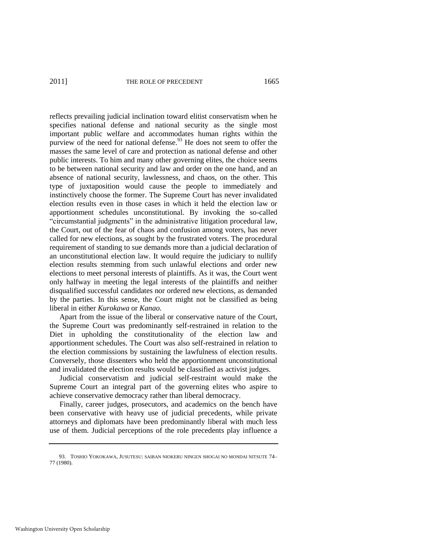reflects prevailing judicial inclination toward elitist conservatism when he specifies national defense and national security as the single most important public welfare and accommodates human rights within the purview of the need for national defense.<sup>93</sup> He does not seem to offer the masses the same level of care and protection as national defense and other public interests. To him and many other governing elites, the choice seems to be between national security and law and order on the one hand, and an absence of national security, lawlessness, and chaos, on the other. This type of juxtaposition would cause the people to immediately and instinctively choose the former. The Supreme Court has never invalidated election results even in those cases in which it held the election law or apportionment schedules unconstitutional. By invoking the so-called ―circumstantial judgments‖ in the administrative litigation procedural law, the Court, out of the fear of chaos and confusion among voters, has never called for new elections, as sought by the frustrated voters. The procedural requirement of standing to sue demands more than a judicial declaration of an unconstitutional election law. It would require the judiciary to nullify election results stemming from such unlawful elections and order new elections to meet personal interests of plaintiffs. As it was, the Court went only halfway in meeting the legal interests of the plaintiffs and neither disqualified successful candidates nor ordered new elections, as demanded by the parties. In this sense, the Court might not be classified as being liberal in either *Kurokawa* or *Kanao.*

Apart from the issue of the liberal or conservative nature of the Court, the Supreme Court was predominantly self-restrained in relation to the Diet in upholding the constitutionality of the election law and apportionment schedules. The Court was also self-restrained in relation to the election commissions by sustaining the lawfulness of election results. Conversely, those dissenters who held the apportionment unconstitutional and invalidated the election results would be classified as activist judges.

Judicial conservatism and judicial self-restraint would make the Supreme Court an integral part of the governing elites who aspire to achieve conservative democracy rather than liberal democracy.

Finally, career judges, prosecutors, and academics on the bench have been conservative with heavy use of judicial precedents, while private attorneys and diplomats have been predominantly liberal with much less use of them. Judicial perceptions of the role precedents play influence a

<sup>93.</sup> TOSHIO YOKOKAWA, JUSUTESU: SAIBAN NIOKERU NINGEN SHOGAI NO MONDAI NITSUTE 74– 77 (1980).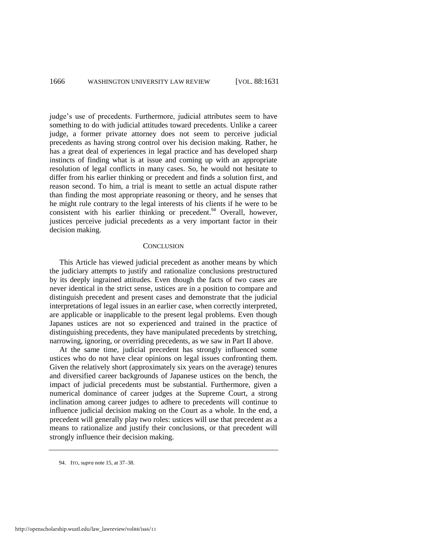judge's use of precedents. Furthermore, judicial attributes seem to have something to do with judicial attitudes toward precedents. Unlike a career judge, a former private attorney does not seem to perceive judicial precedents as having strong control over his decision making. Rather, he has a great deal of experiences in legal practice and has developed sharp instincts of finding what is at issue and coming up with an appropriate resolution of legal conflicts in many cases. So, he would not hesitate to differ from his earlier thinking or precedent and finds a solution first, and reason second. To him, a trial is meant to settle an actual dispute rather than finding the most appropriate reasoning or theory, and he senses that he might rule contrary to the legal interests of his clients if he were to be consistent with his earlier thinking or precedent. $94$  Overall, however, justices perceive judicial precedents as a very important factor in their decision making.

#### **CONCLUSION**

This Article has viewed judicial precedent as another means by which the judiciary attempts to justify and rationalize conclusions prestructured by its deeply ingrained attitudes. Even though the facts of two cases are never identical in the strict sense, ustices are in a position to compare and distinguish precedent and present cases and demonstrate that the judicial interpretations of legal issues in an earlier case, when correctly interpreted, are applicable or inapplicable to the present legal problems. Even though Japanes ustices are not so experienced and trained in the practice of distinguishing precedents, they have manipulated precedents by stretching, narrowing, ignoring, or overriding precedents, as we saw in Part II above.

At the same time, judicial precedent has strongly influenced some ustices who do not have clear opinions on legal issues confronting them. Given the relatively short (approximately six years on the average) tenures and diversified career backgrounds of Japanese ustices on the bench, the impact of judicial precedents must be substantial. Furthermore, given a numerical dominance of career judges at the Supreme Court, a strong inclination among career judges to adhere to precedents will continue to influence judicial decision making on the Court as a whole. In the end, a precedent will generally play two roles: ustices will use that precedent as a means to rationalize and justify their conclusions, or that precedent will strongly influence their decision making.

<sup>94.</sup> ITO, *supra* not[e 15,](#page-7-0) at 37–38.